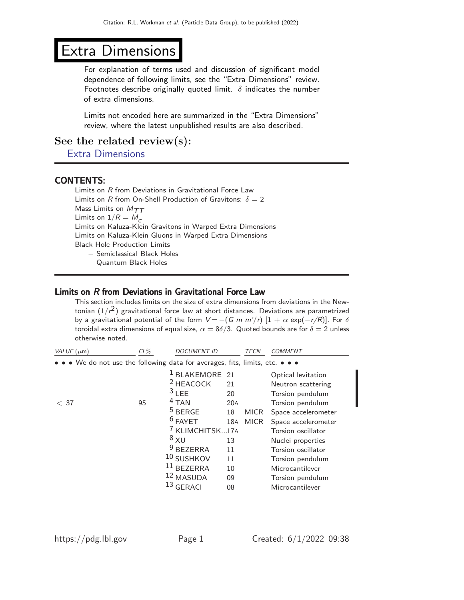# Extra Dimensions

For explanation of terms used and discussion of significant model dependence of following limits, see the "Extra Dimensions" review. Footnotes describe originally quoted limit.  $\delta$  indicates the number of extra dimensions.

Limits not encoded here are summarized in the "Extra Dimensions" review, where the latest unpublished results are also described.

See the related review(s):

[Extra Dimensions](http://pdg.lbl.gov/2022/reviews/rpp2021-rev-extra-dimensions.pdf)

# CONTENTS:

Limits on R from Deviations in Gravitational Force Law Limits on R from On-Shell Production of Gravitons:  $\delta = 2$ Mass Limits on  $M_{TT}$ Limits on  $1/R = M_c$ Limits on Kaluza-Klein Gravitons in Warped Extra Dimensions Limits on Kaluza-Klein Gluons in Warped Extra Dimensions Black Hole Production Limits − Semiclassical Black Holes

− Quantum Black Holes

## Limits on R from Deviations in Gravitational Force Law

This section includes limits on the size of extra dimensions from deviations in the Newtonian  $(1/\epsilon^2)$  gravitational force law at short distances. Deviations are parametrized by a gravitational potential of the form  $V = -(G \, m \, m'/r) [1 + \alpha \, \exp(-r/R)].$  For  $\delta$ toroidal extra dimensions of equal size,  $\alpha = 8\delta/3$ . Quoted bounds are for  $\delta = 2$  unless otherwise noted.

| VALUE $(\mu m)$                                                               | $CL\%$ | <b>DOCUMENT ID</b>                                                                                                                                                                                                                          |                                                                  | TECN                       | COMMENT                                                                                                                                                                                                                                                                       |
|-------------------------------------------------------------------------------|--------|---------------------------------------------------------------------------------------------------------------------------------------------------------------------------------------------------------------------------------------------|------------------------------------------------------------------|----------------------------|-------------------------------------------------------------------------------------------------------------------------------------------------------------------------------------------------------------------------------------------------------------------------------|
| • • • We do not use the following data for averages, fits, limits, etc. • • • |        |                                                                                                                                                                                                                                             |                                                                  |                            |                                                                                                                                                                                                                                                                               |
| < 37                                                                          | 95     | 1<br>BLAKEMORE 21<br><sup>2</sup> HEACOCK<br>$3$ LEE<br>$4$ TAN<br>$5$ BERGE<br>$6$ FAYET<br><sup>7</sup> KLIMCHITSK17A<br>$8\times U$<br><sup>9</sup> BEZERRA<br>10 SUSHKOV<br>$11$ BEZERRA<br><sup>12</sup> MASUDA<br>13<br><b>GERACI</b> | 21<br>20<br>20A<br>18<br>18A<br>13<br>11<br>11<br>10<br>09<br>08 | <b>MICR</b><br><b>MICR</b> | Optical levitation<br>Neutron scattering<br>Torsion pendulum<br>Torsion pendulum<br>Space accelerometer<br>Space accelerometer<br>Torsion oscillator<br>Nuclei properties<br>Torsion oscillator<br>Torsion pendulum<br>Microcantilever<br>Torsion pendulum<br>Microcantilever |
|                                                                               |        |                                                                                                                                                                                                                                             |                                                                  |                            |                                                                                                                                                                                                                                                                               |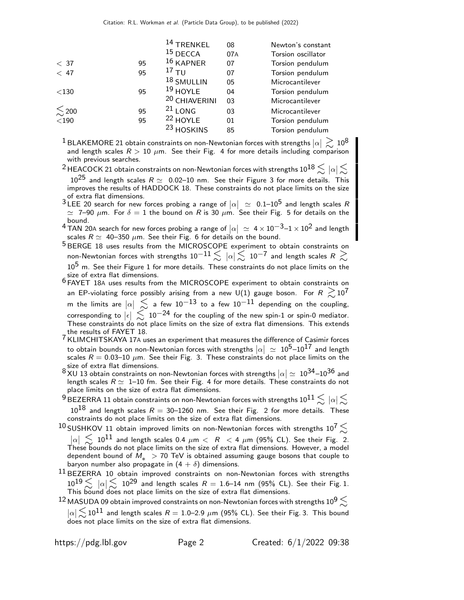|                        |    | $14$ TRENKEL             | 08  | Newton's constant  |
|------------------------|----|--------------------------|-----|--------------------|
|                        |    | $15$ DECCA               | 07A | Torsion oscillator |
| < 37                   | 95 | $16$ KAPNER              | 07  | Torsion pendulum   |
| < 47                   | 95 | $17$ TU                  | 07  | Torsion pendulum   |
|                        |    | 18 SMULLIN               | 05  | Microcantilever    |
| $<$ 130                | 95 | $19$ HOYLE               | 04  | Torsion pendulum   |
|                        |    | <sup>20</sup> CHIAVERINI | 03  | Microcantilever    |
| $\lesssim$ 200 $<$ 190 | 95 | $21$ LONG                | 03  | Microcantilever    |
|                        | 95 | <sup>22</sup> HOYLE      | 01  | Torsion pendulum   |
|                        |    | <sup>23</sup> HOSKINS    | 85  | Torsion pendulum   |

 $^1$ BLAKEMORE 21 obtain constraints on non-Newtonian forces with strengths  $|\alpha| \gtrsim 10^8$ and length scales  $R > 10 \mu m$ . See their Fig. 4 for more details including comparison with previous searches.

 $^2$ HEACOCK 21 obtain constraints on non-Newtonian forces with strengths  $10^{18}$   $\lesssim$   $\,|\alpha|\lesssim$ 

 $10^{25}$  and length scales  $R \simeq 0.02{\text -}10$  nm. See their Figure 3 for more details. This improves the results of HADDOCK 18. These constraints do not place limits on the size

of extra flat dimensions.<br><sup>3</sup> LEE 20 search for new forces probing a range of  $|\alpha| \simeq 0.1-10^5$  and length scales R  $\simeq$  7–90  $\mu$ m. For  $\delta=1$  the bound on  $R$  is 30  $\mu$ m. See their Fig. 5 for details on the bound.

4 TAN 20A search for new forces probing a range of  $|\alpha| \simeq 4 \times 10^{-3} - 1 \times 10^{2}$  and length scales  $R\simeq\,$  40–350  $\mu$ m. See their Fig. 6 for details on the bound.

<sup>5</sup> BERGE 18 uses results from the MICROSCOPE experiment to obtain constraints on non-Newtonian forces with strengths  $10^{-11} \lesssim \ |\alpha| \lesssim \ 10^{-7}$  and length scales  $R \gtrsim$  $10<sup>5</sup>$  m. See their Figure 1 for more details. These constraints do not place limits on the size of extra flat dimensions.

SIZE OF EXTE HET UNITED SIDES.<br><sup>6</sup> FAYET 18A uses results from the MICROSCOPE experiment to obtain constraints on an EP-violating force possibly arising from a new U(1) gauge boson. For  $R\ \gtrsim\!10^7$ m the limits are  $|\alpha| \leq$  a few  $10^{-13}$  to a few  $10^{-11}$  depending on the coupling, corresponding to  $|\epsilon| \lesssim 10^{-24}$  for the coupling of the new spin-1 or spin-0 mediator. These constraints do not place limits on the size of extra flat dimensions. This extends the results of FAYET 18.

7 KLIMCHITSKAYA 17<sup>A</sup> uses an experiment that measures the difference of Casimir forces to obtain bounds on non-Newtonian forces with strengths  $|\alpha| \ \simeq \ 10^5 \text{--} 10^{17}$  and length scales  $R = 0.03{\text -}10 \ \mu\text{m}$ . See their Fig. 3. These constraints do not place limits on the size of extra flat dimensions.

 $8$  XU 13 obtain constraints on non-Newtonian forces with strengths  $|\alpha| \simeq 10^{34}$ –10<sup>36</sup> and length scales  $R \simeq 1$ –10 fm. See their Fig. 4 for more details. These constraints do not place limits on the size of extra flat dimensions.

 $^9$  BEZERRA 11 obtain constraints on non-Newtonian forces with strengths  $10^{11}$   $\lesssim$   $\,|\alpha|\lesssim$  $10^{18}$  and length scales  $R = 30-1260$  nm. See their Fig. 2 for more details. These constraints do not place limits on the size of extra flat dimensions.

10 SUSHKOV 11 obtain improved limits on non-Newtonian forces with strengths  $10^7 \lesssim$  $|\alpha| \lesssim 10^{11}$  and length scales 0.4  $\mu$ m < R < 4  $\mu$ m (95% CL). See their Fig. 2. These bounds do not place limits on the size of extra flat dimensions. However, a model dependent bound of  $M_* > 70$  TeV is obtained assuming gauge bosons that couple to baryon number also propagate in  $(4 + \delta)$  dimensions.

 $^{11}$  BEZERRA 10 obtain improved constraints on non-Newtonian forces with strengths  $10^{19} \lesssim~\vert \alpha \vert \lesssim~10^{29}$  and length scales  $R=1.6$ –14 nm (95% CL). See their Fig. 1. This bound does not place limits on the size of extra flat dimensions.

<sup>12</sup> MASUDA 09 obtain improved constraints on non-Newtonian forces with strengths  $10^9 \lesssim$  $|\alpha|\lesssim 10^{11}$  and length scales  $R=1.0$ –2.9  $\mu$ m (95% CL). See their Fig. 3. This bound does not place limits on the size of extra flat dimensions.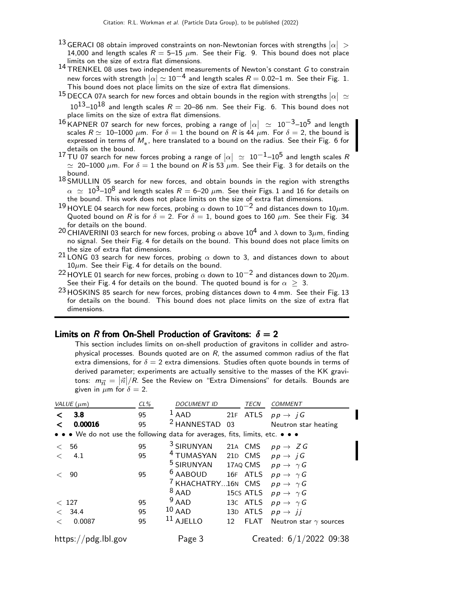- $^{13}$  GERACI 08 obtain improved constraints on non-Newtonian forces with strengths  $|\alpha|$   $>$ 14,000 and length scales  $R = 5{\text -}15 \mu{\text m}$ . See their Fig. 9. This bound does not place limits on the size of extra flat dimensions.
- $14$  TRENKEL 08 uses two independent measurements of Newton's constant G to constrain new forces with strength  $|\alpha|\simeq 10^{-4}$  and length scales  $R=$  0.02–1 m. See their Fig. 1. This bound does not place limits on the size of extra flat dimensions.
- 15 DECCA 07A search for new forces and obtain bounds in the region with strengths  $|\alpha| \simeq$  $10^{13}$ – $10^{18}$  and length scales  $R = 20$ –86 nm. See their Fig. 6. This bound does not place limits on the size of extra flat dimensions.
- 16 KAPNER 07 search for new forces, probing a range of  $|\alpha| \approx 10^{-3}$ –10<sup>5</sup> and length scales  $R \simeq 10$ –1000  $\mu$ m. For  $\delta = 1$  the bound on R is 44  $\mu$ m. For  $\delta = 2$ , the bound is expressed in terms of  $M_*$ , here translated to a bound on the radius. See their Fig. 6 for<br>details on the bound details on the bound.
- 17 TU 07 search for new forces probing a range of  $|\alpha| \approx 10^{-1}$  -10<sup>5</sup> and length scales R  $\simeq$  20–1000  $\mu$ m. For  $\delta = 1$  the bound on R is 53  $\mu$ m. See their Fig. 3 for details on the bound.
- $18$  SMULLIN 05 search for new forces, and obtain bounds in the region with strengths  $\alpha \simeq 10^3$ –10<sup>8</sup> and length scales  $R = 6$ –20  $\mu$ m. See their Figs. 1 and 16 for details on the bound. This work does not place limits on the size of extra flat dimensions.
- 19 HOYLE 04 search for new forces, probing  $\alpha$  down to 10<sup>-2</sup> and distances down to 10 $\mu$ m. Quoted bound on R is for  $\delta = 2$ . For  $\delta = 1$ , bound goes to 160  $\mu$ m. See their Fig. 34 for details on the bound.
- <sup>20</sup> CHIAVERINI 03 search for new forces, probing  $\alpha$  above 10<sup>4</sup> and  $\lambda$  down to 3 $\mu$ m, finding no signal. See their Fig. 4 for details on the bound. This bound does not place limits on the size of extra flat dimensions.
- $21$  LONG 03 search for new forces, probing  $\alpha$  down to 3, and distances down to about  $10\mu$ m. See their Fig. 4 for details on the bound.
- $^{22}$ HOYLE 01 search for new forces, probing  $\alpha$  down to 10 $^{-2}$  and distances down to 20 $\mu$ m. See their Fig. 4 for details on the bound. The quoted bound is for  $\alpha \geq 3$ .
- <sup>23</sup> HOSKINS 85 search for new forces, probing distances down to 4 mm. See their Fig. 13 for details on the bound. This bound does not place limits on the size of extra flat dimensions.

#### Limits on R from On-Shell Production of Gravitons:  $\delta = 2$

This section includes limits on on-shell production of gravitons in collider and astrophysical processes. Bounds quoted are on  $R$ , the assumed common radius of the flat extra dimensions, for  $\delta = 2$  extra dimensions. Studies often quote bounds in terms of derived parameter; experiments are actually sensitive to the masses of the KK gravitons:  $m_{\vec{n}} = |\vec{n}|/R$ . See the Review on "Extra Dimensions" for details. Bounds are given in  $\mu$ m for  $\delta = 2$ .

| VALUE $(\mu m)$                                                               | $CL\%$ | <b>DOCUMENT ID</b>                                       |    | <b>TECN</b> | <b>COMMENT</b>                |
|-------------------------------------------------------------------------------|--------|----------------------------------------------------------|----|-------------|-------------------------------|
| 3.8<br>$\langle$                                                              | 95     | $1$ AAD                                                  |    |             | 21F ATLS $pp \rightarrow jG$  |
| 0.00016<br>$\langle$                                                          | 95     | <sup>2</sup> HANNESTAD 03                                |    |             | Neutron star heating          |
| • • • We do not use the following data for averages, fits, limits, etc. • • • |        |                                                          |    |             |                               |
| < 56                                                                          | 95     | <sup>3</sup> SIRUNYAN 21A CMS $pp \rightarrow Z G$       |    |             |                               |
| $\lt$<br>4.1                                                                  | 95     | <sup>4</sup> TUMASYAN 21D CMS $pp \rightarrow jG$        |    |             |                               |
|                                                                               |        | <sup>5</sup> SIRUNYAN 17AQ CMS $pp \rightarrow \gamma G$ |    |             |                               |
| 90<br>$\leq$                                                                  | 95     | <sup>6</sup> AABOUD 16F ATLS $pp \rightarrow \gamma G$   |    |             |                               |
|                                                                               |        | <sup>7</sup> KHACHATRY16N CMS                            |    |             | $p p \rightarrow \gamma G$    |
|                                                                               |        | $8$ AAD                                                  |    | 15cs ATLS   | $p p \rightarrow \gamma G$    |
| < 127                                                                         | 95     | $9$ AAD                                                  |    | 13C ATLS    | $p p \rightarrow \gamma G$    |
| < 34.4                                                                        | 95     | $10$ AAD                                                 |    | 13D ATLS    | $pp \rightarrow ii$           |
| 0.0087<br>$\,<\,$                                                             | 95     | $11$ AJELLO                                              | 12 | <b>FLAT</b> | Neutron star $\gamma$ sources |
| https://pdg.lbl.gov                                                           |        | Page 3                                                   |    |             | Created: $6/1/2022$ 09:38     |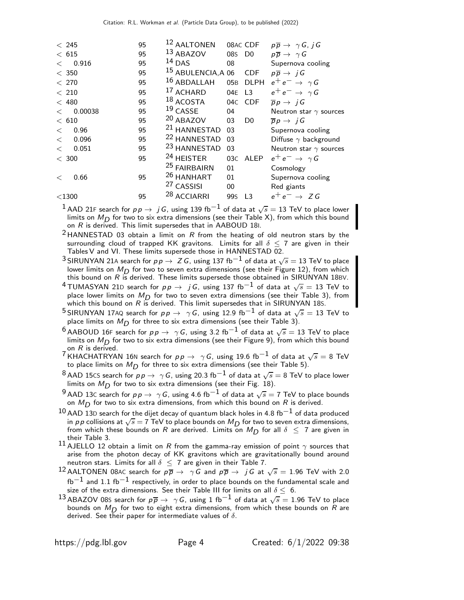|         | < 245    | 95 | 12 AALTONEN                   |                 | 08AC CDF       | $p\overline{p} \rightarrow \gamma G, jG$ |
|---------|----------|----|-------------------------------|-----------------|----------------|------------------------------------------|
|         | $<\,615$ | 95 | 13 ABAZOV                     | 08S             | D <sub>0</sub> | $p\overline{p} \rightarrow \gamma G$     |
| $\lt$   | 0.916    | 95 | $14$ DAS                      | 08              |                | Supernova cooling                        |
|         | $<$ 350  | 95 | <sup>15</sup> ABULENCIA, A 06 |                 | <b>CDF</b>     | $p\overline{p} \rightarrow jG$           |
| < 270   |          | 95 | 16 ABDALLAH                   | 05 <sub>B</sub> | <b>DLPH</b>    | $e^+e^- \rightarrow \gamma G$            |
| < 210   |          | 95 | 17 ACHARD                     | 04E             | L <sub>3</sub> | $e^+e^- \rightarrow \gamma G$            |
|         | < 480    | 95 | 18 ACOSTA                     | 04 <sub>C</sub> | <b>CDF</b>     | $\overline{p}p \rightarrow jG$           |
| $\lt$   | 0.00038  | 95 | $19$ CASSE                    | 04              |                | Neutron star $\gamma$ sources            |
| < 610   |          | 95 | 20 ABAZOV                     | 03              | D <sub>0</sub> | $\overline{p}p \rightarrow iG$           |
| $\lt$   | 0.96     | 95 | <sup>21</sup> HANNESTAD       | 03              |                | Supernova cooling                        |
| $\lt$   | 0.096    | 95 | <sup>22</sup> HANNESTAD       | 03              |                | Diffuse $\gamma$ background              |
| $\,<\,$ | 0.051    | 95 | <sup>23</sup> HANNESTAD       | 03              |                | Neutron star $\gamma$ sources            |
| $<$ 300 |          | 95 | <sup>24</sup> HEISTER         |                 | 03C ALEP       | $e^+e^- \rightarrow \gamma G$            |
|         |          |    | <sup>25</sup> FAIRBAIRN       | 01              |                | Cosmology                                |
| $\,<\,$ | 0.66     | 95 | <sup>26</sup> HANHART         | 01              |                | Supernova cooling                        |
|         |          |    | <sup>27</sup> CASSISI         | 00              |                | Red giants                               |
|         | $<$ 1300 | 95 | <sup>28</sup> ACCIARRI        | 99s             | L3             | $e^+e^- \rightarrow ZG$                  |

1 AAD 21F search for  $p \, p \to j \, G$ , using 139 fb<sup>-1</sup> of data at  $\sqrt{s} = 13$  TeV to place lower limits on  $M_{\text{D}}$  for two to six extra dimensions (see their Table X), from which this bound on  $R$  is derived. This limit supersedes that in AABOUD 181.

<sup>2</sup> HANNESTAD 03 obtain a limit on  $R$  from the heating of old neutron stars by the surrounding cloud of trapped KK gravitons. Limits for all  $\delta$  < 7 are given in their Tables V and VI. These limits supersede those in HANNESTAD 02.

- <sup>3</sup> SIRUNYAN 21A search for  $pp \rightarrow Z G$ , using 137 fb<sup>-1</sup> of data at  $\sqrt{s} = 13$  TeV to place lower limits on  $M_D$  for two to seven extra dimensions (see their Figure 12), from which<br>this bound on R is derived. These limits supersede those obtained in SIRUNYAN 18BV.
- $^4$ TUMASYAN 21D search for  $p \, p \, \rightarrow \, j \, G$ , using 137 fb $^{-1}$  of data at  $\sqrt{s} = 13$  TeV to place lower limits on  $M_D$  for two to seven extra dimensions (see their Table 3), from which this bound on  $R$  is derived. This limit supersedes that in SIRUNYAN 185.

<sup>5</sup> SIRUNYAN 17AQ search for  $pp \rightarrow \gamma G$ , using 12.9 fb<sup>-1</sup> of data at  $\sqrt{s} = 13$  TeV to place limits on  $M_D$  for three to six extra dimensions (see their Table 3).

 $^6$ AABOUD 16F search for  $p \, p \, \rightarrow \, \ \gamma \, G$ , using 3.2 fb $^{-1}$  of data at  $\sqrt{s} = 13$  TeV to place limits on  $M_D$  for two to six extra dimensions (see their Figure 9), from which this bound on  $R$  is derived.

<sup>7</sup> KHACHATRYAN 16N search for  $pp \rightarrow \gamma G$ , using 19.6 fb<sup>-1</sup> of data at  $\sqrt{s} = 8$  TeV to place limits on  $M_D$  for three to six extra dimensions (see their Table 5).

 $^8$ AAD 15CS search for  $p \, p \to \, \gamma \, G$ , using 20.3 fb $^{-1}$  of data at  $\sqrt{s} =$  8 TeV to place lower limits on  $M_D$  for two to six extra dimensions (see their Fig. 18).

 $^9$  AAD 13C search for  $p \, p \to \ \gamma \, G$ , using 4.6 fb $^{-1}$  of data at  $\sqrt{s}=$  7 TeV to place bounds on  $M_D$  for two to six extra dimensions, from which this bound on  $R$  is derived.

- $^{10}$  AAD 13D search for the dijet decay of quantum black holes in 4.8 fb $^{\rm -1}$  of data produced in p p collisions at  $\sqrt{s} = 7$  TeV to place bounds on  $M_D$  for two to seven extra dimensions, from which these bounds on R are derived. Limits on  $M_{\overline{D}}$  for all  $\delta \leq 7$  are given in their Table 3.
- 11 AJELLO 12 obtain a limit on R from the gamma-ray emission of point  $\gamma$  sources that arise from the photon decay of KK gravitons which are gravitationally bound around neutron stars. Limits for all  $\delta \leq 7$  are given in their Table 7.
- 12 AALTONEN 08AC search for  $p\overline{p} \rightarrow \gamma \overline{G}$  and  $p\overline{p} \rightarrow j\overline{G}$  at  $\sqrt{s} = 1.96$  TeV with 2.0  ${\rm fb^{-1}}$  and 1.1 fb $^{-1}$  respectively, in order to place bounds on the fundamental scale and size of the extra dimensions. See their Table III for limits on all  $\delta \leq 6$ .
- $^{13}$ ABAZOV 08s search for  $p\overline{p}\rightarrow\;\gamma\, G$ , using  $1\;\text{fb}^{-1}$  of data at  $\sqrt{s}=1.96$  TeV to place bounds on  $M_D$  for two to eight extra dimensions, from which these bounds on R are derived. See their paper for intermediate values of  $\delta$ .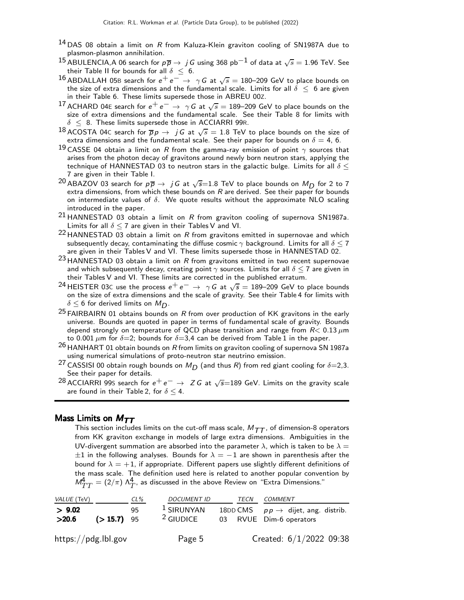- $14$  DAS 08 obtain a limit on R from Kaluza-Klein graviton cooling of SN1987A due to plasmon-plasmon annihilation.
- $^{15}$  ABULENCIA,A 06 search for  $p\overline{p}\rightarrow j\overline{G}$  using 368 pb $^{-1}$  of data at  $\sqrt{s}=$  1.96 TeV. See their Table II for bounds for all  $\delta \leq 6$ .
- 16 ABDALLAH 05B search for  $e^+e^- \rightarrow \gamma G$  at  $\sqrt{s} = 180-209$  GeV to place bounds on the size of extra dimensions and the fundamental scale. Limits for all  $\delta \leq 6$  are given in their Table 6. These limits supersede those in ABREU 00Z.
- <sup>17</sup> ACHARD 04E search for  $e^+e^- \rightarrow \gamma G$  at  $\sqrt{s} = 189-209$  GeV to place bounds on the size of extra dimensions and the fundamental scale. See their Table 8 for limits with  $\delta \leq 8$ . These limits supersede those in ACCIARRI 99R.
- $^{18}$  ACOSTA 04C search for  $\overline{p}p \rightarrow jG$  at  $\sqrt{s} = 1.8$  TeV to place bounds on the size of extra dimensions and the fundamental scale. See their paper for bounds on  $\delta=$  4, 6.
- $^{19}$  CASSE 04 obtain a limit on R from the gamma-ray emission of point  $\gamma$  sources that arises from the photon decay of gravitons around newly born neutron stars, applying the technique of HANNESTAD 03 to neutron stars in the galactic bulge. Limits for all  $\delta$  < 7 are given in their Table I.
- $^{20}$  ABAZOV 03 search for  $p\overline{p}\rightarrow\ j G$  at  $\sqrt{s}{=}1.8$  TeV to place bounds on  $M_{\small{D}}$  for 2 to 7 extra dimensions, from which these bounds on  $R$  are derived. See their paper for bounds on intermediate values of  $\delta$ . We quote results without the approximate NLO scaling introduced in the paper.
- $^{21}$  HANNESTAD 03 obtain a limit on R from graviton cooling of supernova SN1987a. Limits for all  $\delta$  < 7 are given in their Tables V and VI.
- $22$  HANNESTAD 03 obtain a limit on R from gravitons emitted in supernovae and which subsequently decay, contaminating the diffuse cosmic  $\gamma$  background. Limits for all  $\delta \leq 7$ are given in their Tables V and VI. These limits supersede those in HANNESTAD 02.
- $23$  HANNESTAD 03 obtain a limit on R from gravitons emitted in two recent supernovae and which subsequently decay, creating point  $\gamma$  sources. Limits for all  $\delta \leq 7$  are given in their Tables V and VI. These limits are corrected in the published erratum.
- <sup>24</sup> HEISTER 03C use the process  $e^+e^- \rightarrow \gamma G$  at  $\sqrt{s} = 189-209$  GeV to place bounds on the size of extra dimensions and the scale of gravity. See their Table 4 for limits with  $\delta \leq 6$  for derived limits on  $M_{\mathsf{D}}$ .
- <sup>25</sup> FAIRBAIRN 01 obtains bounds on R from over production of KK gravitons in the early universe. Bounds are quoted in paper in terms of fundamental scale of gravity. Bounds depend strongly on temperature of QCD phase transition and range from  $R < 0.13 \mu m$ to 0.001  $\mu$ m for  $\delta$ =2; bounds for  $\delta$ =3,4 can be derived from Table 1 in the paper.
- $^{26}$  HANHART 01 obtain bounds on R from limits on graviton cooling of supernova SN 1987a using numerical simulations of proto-neutron star neutrino emission.
- <sup>27</sup> CASSISI 00 obtain rough bounds on  $M_D$  (and thus R) from red giant cooling for  $\delta = 2,3$ . See their paper for details.
- <sup>28</sup> ACCIARRI 99s search for  $e^+e^- \rightarrow Z G$  at  $\sqrt{s}=189$  GeV. Limits on the gravity scale are found in their Table 2, for  $\delta \leq 4$ .

#### Mass Limits on  $M_{TT}$

This section includes limits on the cut-off mass scale,  $M_{TT}$ , of dimension-8 operators from KK graviton exchange in models of large extra dimensions. Ambiguities in the UV-divergent summation are absorbed into the parameter  $\lambda$ , which is taken to be  $\lambda =$  $\pm 1$  in the following analyses. Bounds for  $\lambda = -1$  are shown in parenthesis after the bound for  $\lambda = +1$ , if appropriate. Different papers use slightly different definitions of the mass scale. The definition used here is related to another popular convention by  $\mathcal{M}_{TT}^{\!4}=(2/\pi)\ \Lambda_{T}^{\!4},$  as discussed in the above Review on "Extra Dimensions."

| VALUE (TeV)         |              | $CL\%$ | <b>DOCUMENT ID</b>          | TECN | COMMENT                                                                   |
|---------------------|--------------|--------|-----------------------------|------|---------------------------------------------------------------------------|
| > 9.02<br>>20.6     | $(>15.7)$ 95 | 95     | $1$ SIRUNYAN<br>$2$ GIUDICE |      | 18DD CMS $pp \rightarrow$ dijet, ang. distrib.<br>03 RVUE Dim-6 operators |
| https://pdg.lbl.gov |              |        | Page 5                      |      | Created: 6/1/2022 09:38                                                   |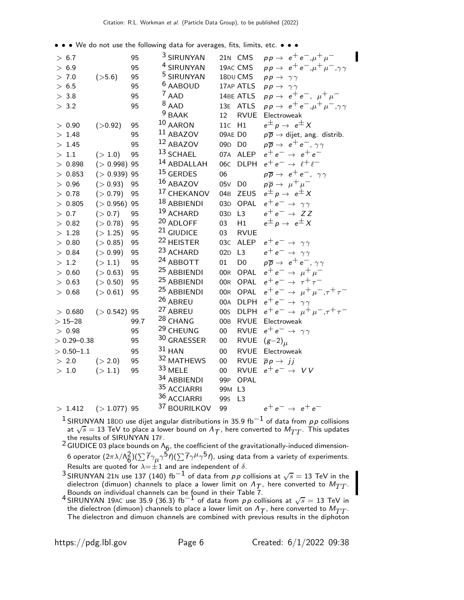• • • We do not use the following data for averages, fits, limits, etc. • • •

| > 6.7<br>> 6.9<br>> 7.0<br>> 6.5<br>> 3.8<br>> 3.2 | (>5.6)          | 95<br>95<br>95<br>95<br>95<br>95 | <sup>3</sup> SIRUNYAN<br><sup>4</sup> SIRUNYAN<br><sup>5</sup> SIRUNYAN<br><sup>6</sup> AABOUD<br><sup>7</sup> AAD<br>$8$ AAD<br>$9$ BAAK | 12              | 21N CMS<br>19AC CMS<br>18DU CMS<br>17AP ATLS<br>14BE ATLS<br>13E ATLS<br><b>RVUE</b> | $pp \to e^+e^-, \mu^+\mu^-$<br>$pp \rightarrow e^+e^-, \mu^+\mu^-, \gamma\gamma$<br>$pp \rightarrow \gamma \gamma$<br>$pp \rightarrow \gamma \gamma$<br>$pp \rightarrow e^+e^-$ , $\mu^+\mu^-$<br>$pp \rightarrow e^+e^-, \mu^+\mu^-, \gamma\gamma$<br>Electroweak |
|----------------------------------------------------|-----------------|----------------------------------|-------------------------------------------------------------------------------------------------------------------------------------------|-----------------|--------------------------------------------------------------------------------------|--------------------------------------------------------------------------------------------------------------------------------------------------------------------------------------------------------------------------------------------------------------------|
| > 0.90                                             | (>0.92)         | 95                               | $10$ AARON                                                                                                                                | 11c H1          |                                                                                      | $e^{\pm} p \rightarrow e^{\pm} X$                                                                                                                                                                                                                                  |
| > 1.48                                             |                 | 95                               | $11$ ABAZOV                                                                                                                               | 09AE DO         |                                                                                      | $p\overline{p} \rightarrow$ dijet, ang. distrib.                                                                                                                                                                                                                   |
| >1.45                                              |                 | 95                               | 12 ABAZOV                                                                                                                                 | 09D D0          |                                                                                      | $p\overline{p} \rightarrow e^+e^-, \gamma\gamma$                                                                                                                                                                                                                   |
| $>1.1$                                             | (>1.0)          | 95                               | $13$ SCHAEL                                                                                                                               |                 | 07A ALEP                                                                             | $e^+e^- \rightarrow e^+e^-$                                                                                                                                                                                                                                        |
| > 0.898                                            | $( > 0.998)$ 95 |                                  | 14 ABDALLAH                                                                                                                               | 06 <sub>C</sub> | <b>DLPH</b>                                                                          | $e^+e^- \rightarrow \ell^+\ell^-$                                                                                                                                                                                                                                  |
| > 0.853                                            | $( > 0.939)$ 95 |                                  | 15 GERDES                                                                                                                                 | 06              |                                                                                      | $p\overline{p} \rightarrow e^+e^-$ , $\gamma\gamma$                                                                                                                                                                                                                |
| > 0.96                                             | (> 0.93)        | 95                               | 16 ABAZOV                                                                                                                                 | 05 <sub>V</sub> | D <sub>0</sub>                                                                       | $p\overline{p} \rightarrow \mu^+ \mu^-$                                                                                                                                                                                                                            |
| > 0.78                                             | (> 0.79)        | 95                               | 17 CHEKANOV                                                                                                                               | 04 <sub>B</sub> | <b>ZEUS</b>                                                                          | $e^{\pm} p \rightarrow e^{\pm} X$                                                                                                                                                                                                                                  |
| > 0.805                                            | $( > 0.956)$ 95 |                                  | 18 ABBIENDI                                                                                                                               | 03D             | OPAL                                                                                 | $e^+e^- \rightarrow \gamma \gamma$                                                                                                                                                                                                                                 |
| > 0.7                                              | (> 0.7)         | 95                               | 19 ACHARD                                                                                                                                 | 03D             | L3                                                                                   | $e^+e^- \rightarrow ZZ$                                                                                                                                                                                                                                            |
| > 0.82                                             | (> 0.78)        | 95                               | 20 ADLOFF                                                                                                                                 | 03              | H1                                                                                   | $e^{\pm} p \rightarrow e^{\pm} X$                                                                                                                                                                                                                                  |
| > 1.28                                             | (>1.25)         | 95                               | $21$ GIUDICE                                                                                                                              | 03              | <b>RVUE</b>                                                                          |                                                                                                                                                                                                                                                                    |
| > 0.80                                             | (> 0.85)        | 95                               | <sup>22</sup> HEISTER                                                                                                                     | 03C             | <b>ALEP</b>                                                                          | $e^+e^- \rightarrow \gamma\gamma$                                                                                                                                                                                                                                  |
| > 0.84                                             | (>0.99)         | 95                               | <sup>23</sup> ACHARD                                                                                                                      | 02D             | L3                                                                                   | $e^+e^- \rightarrow \gamma\gamma$                                                                                                                                                                                                                                  |
| > 1.2                                              | (>1.1)          | 95                               | <sup>24</sup> ABBOTT                                                                                                                      | 01              | D <sub>0</sub>                                                                       | $p\overline{p} \rightarrow e^+e^-, \gamma\gamma$                                                                                                                                                                                                                   |
| $>0.60$                                            | (> 0.63)        | 95                               | <sup>25</sup> ABBIENDI                                                                                                                    | 00R             | OPAL                                                                                 | $e^+e^- \rightarrow \mu^+\mu^-$                                                                                                                                                                                                                                    |
| > 0.63                                             | (> 0.50)        | 95                               | <sup>25</sup> ABBIENDI                                                                                                                    | 00 <sub>R</sub> | OPAL                                                                                 | $e^+e^- \rightarrow \tau^+\tau^-$                                                                                                                                                                                                                                  |
| > 0.68                                             | (> 0.61)        | 95                               | <sup>25</sup> ABBIENDI                                                                                                                    | 00R             | OPAL                                                                                 | $e^+e^- \rightarrow \mu^+\mu^-, \tau^+\tau^-$                                                                                                                                                                                                                      |
|                                                    |                 |                                  | 26 ABREU                                                                                                                                  | 00A             | <b>DLPH</b>                                                                          | $e^+e^- \rightarrow \gamma\gamma$                                                                                                                                                                                                                                  |
| > 0.680                                            | $( > 0.542)$ 95 |                                  | 27 ABREU                                                                                                                                  | 00s             | <b>DLPH</b>                                                                          | $e^+e^- \rightarrow \mu^+\mu^-, \tau^+\tau^-$                                                                                                                                                                                                                      |
| $>15 - 28$                                         |                 | 99.7                             | 28 CHANG                                                                                                                                  | 00B             | <b>RVUE</b>                                                                          | Electroweak                                                                                                                                                                                                                                                        |
| > 0.98                                             |                 | 95                               | 29 CHEUNG                                                                                                                                 | $00\,$          | <b>RVUE</b>                                                                          | $e^+e^- \rightarrow \gamma\gamma$                                                                                                                                                                                                                                  |
| $> 0.29 - 0.38$                                    |                 | 95                               | 30 GRAESSER                                                                                                                               | $00\,$          | <b>RVUE</b>                                                                          | $(g-2)_{\mu}$                                                                                                                                                                                                                                                      |
| $> 0.50 - 1.1$                                     |                 | 95                               | $31$ HAN                                                                                                                                  | $00\,$          | <b>RVUE</b>                                                                          | Electroweak                                                                                                                                                                                                                                                        |
| $>~2.0$                                            | (> 2.0)         | 95                               | 32 MATHEWS                                                                                                                                | $00\,$          | <b>RVUE</b>                                                                          | $\overline{p}p \rightarrow jj$                                                                                                                                                                                                                                     |
| $>1.0$                                             | (>1.1)          | 95                               | $33$ MELE                                                                                                                                 | $00\,$          | <b>RVUE</b>                                                                          | $e^+e^- \rightarrow VV$                                                                                                                                                                                                                                            |
|                                                    |                 |                                  | 34 ABBIENDI                                                                                                                               | 99 <sub>P</sub> | OPAL                                                                                 |                                                                                                                                                                                                                                                                    |
|                                                    |                 |                                  | 35 ACCIARRI<br>36 ACCIARRI                                                                                                                | 99 <sub>M</sub> | L3                                                                                   |                                                                                                                                                                                                                                                                    |
|                                                    |                 |                                  |                                                                                                                                           | 99s             | L <sub>3</sub>                                                                       | $e^+e^- \rightarrow e^+e^-$                                                                                                                                                                                                                                        |
| > 1.412                                            | $(>1.077)$ 95   |                                  | 37 BOURILKOV                                                                                                                              | 99              |                                                                                      |                                                                                                                                                                                                                                                                    |

 $^1$ SIRUNYAN 18DD use dijet angular distributions in 35.9 fb $^{-1}$  of data from  $\rho \rho$  collisions at  $\sqrt{s} = 13$  TeV to place a lower bound on  $\Lambda_T$ , here converted to  $M_{TT}$ . This updates

the results of SIRUNYAN 17F.<br><sup>2</sup> GIUDICE 03 place bounds on Λ<sub>6</sub>, the coefficient of the gravitationally-induced dimension-6 operator  $(2\pi\lambda/\Lambda_{\widehat{6}}^2)(\sum \overline{f}\gamma_\mu\gamma^5f)(\sum \overline{f}\gamma^\mu\gamma^5f)$ , using data from a variety of experiments. Results are quoted for  $\lambda = \pm 1$  and are independent of  $\delta$ .

 $^3$ SIRUNYAN 21N use 137 (140) fb $^{-1}$  of data from  $\rho \, \rho$  collisions at  $\sqrt{s} =$  13 TeV in the dielectron (dimuon) channels to place a lower limit on  $\Lambda_T$ , here converted to  $M_{TT}$ .<br>Bounds on individual channels can be found in their Table 7.<br><sup>4</sup> SIRUNYAN 19AC use 35.9 (36.3) fb<sup>-1</sup> of data from *pp* collisions at

the dielectron (dimuon) channels to place a lower limit on  $\Lambda_T$ , here converted to  $M_{TT}$ . The dielectron and dimuon channels are combined with previous results in the diphoton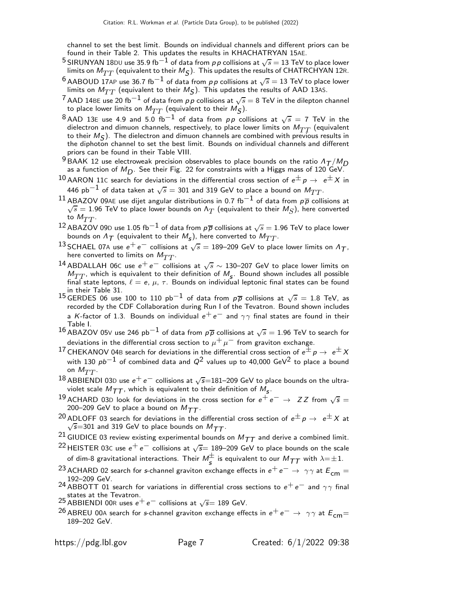channel to set the best limit. Bounds on individual channels and different priors can be found in their Table 2. This updates the results in KHACHATRYAN 15AE.

- $^5$ SIRUNYAN 18<code>DU</code> use 35.9 fb $^{-1}$  of data from  $\rho\, \rho$  collisions at  $\sqrt{s} =$  13 TeV to place lower limits on  $M_{TT}$  (equivalent to their  $M_{\cal S}$ ). This updates the results of CHATRCHYAN 12R.
- $^6$  AABOUD 17AP use 36.7 fb<sup>-1</sup> of data from pp collisions at  $\sqrt{s} = 13$  TeV to place lower limits on  $M_{TT}$  (equivalent to their  $M_{\mathcal{S}}$ ). This updates the results of AAD 13AS.
- $^7$  AAD 14BE use 20 fb $^{-1}$  of data from  $\rho\, \rho$  collisions at  $\sqrt{s}=$  8 TeV in the dilepton channel to place lower limits on  $M_{TT}$  (equivalent to their  $M_{\cal S}$ ).
- 8 AAD 13E use 4.9 and 5.0 fb<sup>-1</sup> of data from pp collisions at  $\sqrt{s} = 7$  TeV in the dielectron and dimuon channels, respectively, to place lower limits on  $M_{TT}$  (equivalent to their  $M_S$ ). The dielectron and dimuon channels are combined with previous results in the diphoton channel to set the best limit. Bounds on individual channels and different priors can be found in their Table VIII.
- $^9$ BAAK 12 use electroweak precision observables to place bounds on the ratio  $A_{\mathcal{T}}/M_{\mathcal{D}}$ as a function of  $M_{\textstyle \rm D}$ . See their Fig. 22 for constraints with a Higgs mass of 120 GeV.
- $^{10}$  AARON 11C search for deviations in the differential cross section of  $e^{\pm}$   $p$   $\rightarrow$   $\;e^{\pm}$  X in 446 pb $^{-1}$  of data taken at  $\sqrt{s}=$  301 and 319 GeV to place a bound on  $M_{TT}.$
- $^{11}$  ABAZOV 09AE use dijet angular distributions in 0.7 fb $^{-1}$  of data from  $\rho\overline{\rho}$  collisions at  $\sqrt{s} = 1.96$  TeV to place lower bounds on  $\Lambda_T$  (equivalent to their  $M_S$ ), here converted to  $M_{TT}$ .
- $^{12}$  ABAZOV 09D use 1.05 fb $^{-1}$  of data from  $p\overline{p}$  collisions at  $\sqrt{s} = 1.96$  TeV to place lower bounds on  $\Lambda_{\mathcal{T}}$  (equivalent to their  $\mathcal{M}_{\mathcal{S}}$ ), here converted to  $\mathcal{M}_{TT}.$
- 13 SCHAEL 07A use  $e^+e^-$  collisions at  $\sqrt{s} = 189-209$  GeV to place lower limits on  $\Lambda_T$ , here converted to limits on  $M_{TT}$ .
- <sup>14</sup> ABDALLAH 06C use  $e^+e^-$  collisions at  $\sqrt{s} \sim 130-207$  GeV to place lower limits on  $M_{TT}$ , which is equivalent to their definition of  $M_s$ . Bound shown includes all possible final state leptons,  $\ell = e, \mu, \tau$ . Bounds on individual leptonic final states can be found in their Table 31.
- <sup>15</sup> GERDES 06 use 100 to 110 pb<sup>-1</sup> of data from  $p\overline{p}$  collisions at  $\sqrt{s} = 1.8$  TeV, as recorded by the CDF Collaboration during Run I of the Tevatron. Bound shown includes a K-factor of 1.3. Bounds on individual  $e^+e^-$  and  $\gamma\gamma$  final states are found in their Table I.
- 16 ABAZOV 05V use 246 pb<sup>-1</sup> of data from  $p\overline{p}$  collisions at  $\sqrt{s} = 1.96$  TeV to search for deviations in the differential cross section to  $\mu^+ \mu^-$  from graviton exchange.
- $^{17}$  CHEKANOV 04B search for deviations in the differential cross section of  $e^{\pm}$   $p\rightarrow\ e^{\pm}$   $X$ with 130  $pb^{-1}$  of combined data and  $Q^2$  values up to 40,000 GeV<sup>2</sup> to place a bound on  $M_{TT}$ .
- 18 ABBIENDI 03D use  $e^+e^-$  collisions at  $\sqrt{s}=181-209$  GeV to place bounds on the ultraviolet scale  $M_{\mathcal{T}\mathcal{T}}$ , which is equivalent to their definition of  $M_{\mathsf{S}}^{}$ .
- 19 ACHARD 03D look for deviations in the cross section for  $e^+e^- \rightarrow ZZ$  from  $\sqrt{s} =$ 200–209 GeV to place a bound on  $M_{TT}$ .
- <sup>20</sup> ADLOFF 03 search for deviations in the differential cross section of  $e^{\pm}p \rightarrow e^{\pm}X$  at  $\sqrt{s}$ =301 and 319 GeV to place bounds on  $M_{TT}$ .
- 21 GIUDICE 03 review existing experimental bounds on  $M_{TT}$  and derive a combined limit.
- $^{22}$ HEISTER 03C use  $e^+ \, e^-$  collisions at  $\sqrt{s}$ = 189–209 GeV to place bounds on the scale of dim-8 gravitational interactions. Their  $M_S^\pm$  is equivalent to our  $M_{\cal TT}$  with  $\lambda{=\pm}$  1.
- <sup>23</sup> ACHARD 02 search for s-channel graviton exchange effects in  $e^+e^- \rightarrow \gamma \gamma$  at  $E_{cm} =$ 192–209 GeV.
- <sup>24</sup> ABBOTT 01 search for variations in differential cross sections to  $e^+e^-$  and  $\gamma\gamma$  final 25 states at the Tevatron.<br>25 ABBIENDI 00R uses e<sup>+</sup> e<sup>−</sup> collisions at √s= 189 GeV.
- 
- <sup>26</sup> ABREU 00A search for s-channel graviton exchange effects in  $e^+ \, e^- \to \, \gamma \gamma$  at  $E_{cm}$   $=$ 189–202 GeV.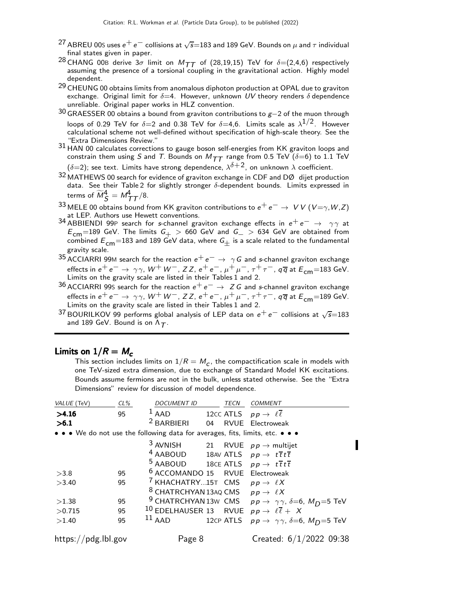- $^{27}$  ABREU 00S uses  $e^+ \, e^-$  collisions at  $\sqrt{s} {=} 183$  and 189 GeV. Bounds on  $\mu$  and  $\tau$  individual final states given in paper.
- <sup>28</sup> CHANG 00B derive 3 $\sigma$  limit on  $M_{TT}$  of (28,19,15) TeV for  $\delta = (2,4,6)$  respectively assuming the presence of a torsional coupling in the gravitational action. Highly model dependent.
- <sup>29</sup> CHEUNG 00 obtains limits from anomalous diphoton production at OPAL due to graviton exchange. Original limit for  $\delta=4$ . However, unknown UV theory renders  $\delta$  dependence unreliable. Original paper works in HLZ convention.
- $30$  GRAESSER 00 obtains a bound from graviton contributions to  $g-2$  of the muon through loops of 0.29 TeV for  $\delta{=}2$  and 0.38 TeV for  $\delta{=}4,6$ . Limits scale as  $\lambda^{1/2}$ . However calculational scheme not well-defined without specification of high-scale theory. See the "Extra Dimensions Review."
- 31 HAN 00 calculates corrections to gauge boson self-energies from KK graviton loops and constrain them using S and T. Bounds on  $M_{TT}$  range from 0.5 TeV ( $\delta$ =6) to 1.1 TeV  $(\delta{=}2)$ ; see text. Limits have strong dependence,  $\lambda^{\delta{+}2}$ , on unknown  $\lambda$  coefficient.
- 32 MATHEWS 00 search for evidence of graviton exchange in CDF and DØ dijet production data. See their Table 2 for slightly stronger  $\delta$ -dependent bounds. Limits expressed in terms of  $\widetilde{M}_{\mathcal{S}}^{4} = M_{\mathcal{TT}}^{4}/8.$
- $^{33}$  MELE 00 obtains bound from KK graviton contributions to  $e^+ \, e^- \rightarrow \; V \, V \, (V = \gamma, W, Z)$ at LEP. Authors use Hewett conventions.
- 34 ABBIENDI 99P search for s-channel graviton exchange effects in  $e^+e^- \rightarrow \gamma \gamma$  at  $E_{\text{cm}}$ =189 GeV. The limits  $G_{+}$  > 660 GeV and  $G_{-}$  > 634 GeV are obtained from<br>combined  $E_{-}$  =183 and 180 GeV data where G, is a scale related to the fundamental combined  $E_{cm}$ =183 and 189 GeV data, where  $G_+$  is a scale related to the fundamental gravity scale.
- 35 ACCIARRI 99M search for the reaction  $e^+e^- \rightarrow \gamma G$  and s-channel graviton exchange effects in  $e^+e^-\to \gamma\gamma$ ,  $W^+$   $W^-$ ,  $ZZ$ ,  $e^+e^-, \mu^+\mu^-, \tau^+\tau^-,$   $q\overline{q}$  at  $E_{\mathsf{cm}}{=}183$  GeV.<br>Limits on the gravity scale are listed in their Tables 1 and 2.
- <sup>36</sup> ACCIARRI 99S search for the reaction  $e^+e^-$  →  $Z$  G and s-channel graviton exchange effects in  $e^+e^- \rightarrow \gamma \gamma$ ,  $W^+W^-$ ,  $ZZ$ ,  $e^+e^-$ ,  $\mu^+\mu^-$ ,  $\tau^+\tau^-$ ,  $q\overline{q}$  at  $E_{cm}$ =189 GeV. Limits on the gravity scale are listed in their Tables 1 and 2.
- 37 BOURILKOV 99 performs global analysis of LEP data on  $e^+e^-$  collisions at  $\sqrt{s}$ =183 and 189 GeV. Bound is on  $\Lambda_T$ .

## Limits on  $1/R = M_c$

This section includes limits on  $1/R = M_c$ , the compactification scale in models with one TeV-sized extra dimension, due to exchange of Standard Model KK excitations. Bounds assume fermions are not in the bulk, unless stated otherwise. See the "Extra Dimensions" review for discussion of model dependence.

| VALUE (TeV)                                                                   | $CL\%$ | <b>DOCUMENT ID</b>                                                         |    | <b>TECN</b> | COMMENT                                                                                        |
|-------------------------------------------------------------------------------|--------|----------------------------------------------------------------------------|----|-------------|------------------------------------------------------------------------------------------------|
| >4.16                                                                         | 95     | <sup>1</sup> AAD 12CC ATLS $pp \rightarrow \ell \overline{\ell}$           |    |             |                                                                                                |
| >6.1                                                                          |        | <sup>2</sup> BARBIERI                                                      | 04 |             | RVUE Electroweak                                                                               |
| • • • We do not use the following data for averages, fits, limits, etc. • • • |        |                                                                            |    |             |                                                                                                |
|                                                                               |        | 3 AVNISH 21 RVUE $p p \rightarrow$ multijet                                |    |             |                                                                                                |
|                                                                               |        | <sup>4</sup> AABOUD 18AV ATLS $pp \rightarrow t\bar{t}t\bar{t}$            |    |             |                                                                                                |
|                                                                               |        | <sup>5</sup> AABOUD 18CE ATLS $pp \rightarrow t\bar{t}t\bar{t}$            |    |             |                                                                                                |
| >3.8                                                                          | 95     | <sup>6</sup> ACCOMANDO 15 RVUE Electroweak                                 |    |             |                                                                                                |
| >3.40                                                                         | 95     | <sup>7</sup> KHACHATRY15T CMS $pp \rightarrow \ell X$                      |    |             |                                                                                                |
|                                                                               |        | <sup>8</sup> CHATRCHYAN 13AQ CMS $pp \rightarrow \ell X$                   |    |             |                                                                                                |
| >1.38                                                                         | 95     |                                                                            |    |             | <sup>9</sup> CHATRCHYAN 13w CMS $p p \rightarrow \gamma \gamma$ , $\delta = 6$ , $M_D = 5$ TeV |
| >0.715                                                                        | 95     | <sup>10</sup> EDELHAUSER 13 RVUE $pp \rightarrow \ell \overline{\ell} + X$ |    |             |                                                                                                |
| >1.40                                                                         | 95     | $^{11}$ AAD                                                                |    | 12CP ATLS   | $p p \rightarrow \gamma \gamma$ , $\delta = 6$ , $M_D = 5$ TeV                                 |
| https://pdg.lbl.gov                                                           |        | Page 8                                                                     |    |             | Created: $6/1/2022$ 09:38                                                                      |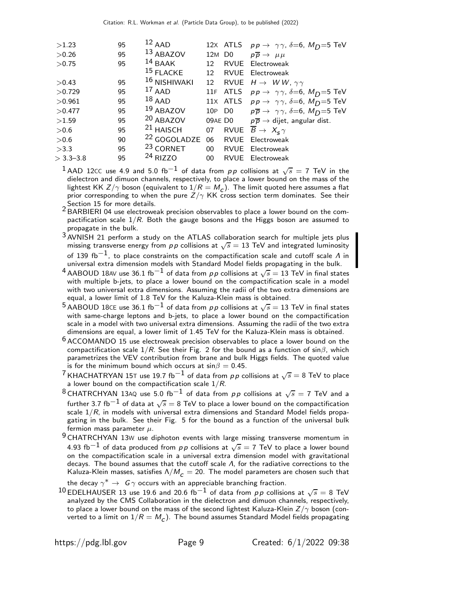| >1.23       | 95 | $12$ AAD                |                    |          | 12x ATLS $pp \rightarrow \gamma \gamma$ , $\delta = 6$ , $M_D = 5$ TeV         |
|-------------|----|-------------------------|--------------------|----------|--------------------------------------------------------------------------------|
| >0.26       | 95 | 13 ABAZOV               | 12M D <sub>0</sub> |          | $p\overline{p} \rightarrow \mu\mu$                                             |
| >0.75       | 95 | $14$ BAAK               | 12                 | RVUE     | Electroweak                                                                    |
|             |    | $15$ FLACKE             | 12 <sup>°</sup>    |          | RVUE Electroweak                                                               |
| >0.43       | 95 | 16 NISHIWAKI            | 12                 |          | RVUE $H \rightarrow W W$ , $\gamma \gamma$                                     |
| >0.729      | 95 | $17$ AAD                |                    | 11F ATLS | $p p \rightarrow \gamma \gamma$ , $\delta = 6$ , $M_D = 5$ TeV                 |
| >0.961      | 95 | $18$ AAD                |                    |          | 11x ATLS $pp \rightarrow \gamma \gamma$ , $\delta = 6$ , $M_D = 5$ TeV         |
| >0.477      | 95 | $19$ ABAZOV             |                    |          | 10P D0 $p\overline{p} \rightarrow \gamma\gamma$ , $\delta = 6$ , $M_D = 5$ TeV |
| >1.59       | 95 | <sup>20</sup> ABAZOV    |                    |          | 09AE D0 $p\overline{p} \rightarrow$ dijet, angular dist.                       |
| >0.6        | 95 | $21$ HAISCH             | 07                 |          | RVUE $\overline{B} \rightarrow X_s \gamma$                                     |
| >0.6        | 90 | <sup>22</sup> GOGOLADZE | 06                 |          | RVUE Electroweak                                                               |
| >3.3        | 95 | <sup>23</sup> CORNET    |                    |          | 00 RVUE Electroweak                                                            |
| $>$ 3.3–3.8 | 95 | <sup>24</sup> RIZZO     | 00                 |          | <b>RVUE</b> Electroweak                                                        |

 $^1$  AAD 12CC use 4.9 and 5.0 fb $^{-1}$  of data from  $\rho \rho$  collisions at  $\sqrt{s} =$  7 TeV in the dielectron and dimuon channels, respectively, to place a lower bound on the mass of the lightest KK Z/ $\gamma$  boson (equivalent to  $1/R = M_c$ ). The limit quoted here assumes a flat prior corresponding to when the pure  $Z/\gamma$  KK cross section term dominates. See their

- Section 15 for more details.<br><sup>2</sup> BARBIERI 04 use electroweak precision observables to place a lower bound on the compactification scale  $1/R$ . Both the gauge bosons and the Higgs boson are assumed to propagate in the bulk.
- 3 AVNISH 21 perform a study on the ATLAS collaboration search for multiple jets plus missing transverse energy from  $p p$  collisions at  $\sqrt{s} = 13$  TeV and integrated luminosity of 139 fb<sup>-1</sup>, to place constraints on the compactification scale and cutoff scale  $\Lambda$  in universal extra dimension models with Standard Model fields propagating in the bulk.
- $^4$  AABOUD 18AV use 36.1 fb $^{-1}$  of data from  $\rho \rho$  collisions at  $\sqrt{s}=$  13 TeV in final states with multiple b-jets, to place a lower bound on the compactification scale in a model with two universal extra dimensions. Assuming the radii of the two extra dimensions are equal, a lower limit of 1.8 TeV for the Kaluza-Klein mass is obtained.
- $^5$  AABOUD 18CE use 36.1 fb $^{-1}$  of data from  $\rho \rho$  collisions at  $\sqrt{s} =$  13 TeV in final states with same-charge leptons and b-jets, to place a lower bound on the compactification scale in a model with two universal extra dimensions. Assuming the radii of the two extra dimensions are equal, a lower limit of 1.45 TeV for the Kaluza-Klein mass is obtained.
- $6$  ACCOMANDO 15 use electroweak precision observables to place a lower bound on the compactification scale  $1/R$ . See their Fig. 2 for the bound as a function of sin $\beta$ , which parametrizes the VEV contribution from brane and bulk Higgs fields. The quoted value is for the minimum bound which occurs at  $\sin\!\beta = 0.45.$
- $^7$ KHACHATRYAN 15T use 19.7 fb $^{-1}$  of data from  $\rho \, \rho$  collisions at  $\sqrt{s} =$  8 TeV to place a lower bound on the compactification scale  $1/R_{\cdot}$
- $^8$ CHATRCHYAN 13AQ use 5.0 fb $^{-1}$  of data from  $\rho \rho$  collisions at  $\sqrt{s} =$  7 TeV and a further 3.7 fb $^{-1}$  of data at  $\sqrt{s}=$  8 TeV to place a lower bound on the compactification scale  $1/R$ , in models with universal extra dimensions and Standard Model fields propagating in the bulk. See their Fig. 5 for the bound as a function of the universal bulk fermion mass parameter  $\mu$ .
- $9$  CHATRCHYAN 13W use diphoton events with large missing transverse momentum in 4.93 fb $^{-1}$  of data produced from pp collisions at  $\sqrt{s} = 7$  TeV to place a lower bound on the compactification scale in a universal extra dimension model with gravitational decays. The bound assumes that the cutoff scale  $\Lambda$ , for the radiative corrections to the Kaluza-Klein masses, satisfies  $\Lambda/M_c = 20$ . The model parameters are chosen such that

the decay  $\gamma^* \to~{\sf G}\,\gamma$  occurs with an appreciable branching fraction.

 $^{10}$  EDELHAUSER 13 use 19.6 and 20.6 fb $^{-1}$  of data from  $pp$  collisions at  $\sqrt{s}=$  8 TeV analyzed by the CMS Collaboration in the dielectron and dimuon channels, respectively, to place a lower bound on the mass of the second lightest Kaluza-Klein  $Z/\gamma$  boson (converted to a limit on  $1/R = M^{}_{\cal C})$ . The bound assumes Standard Model fields propagating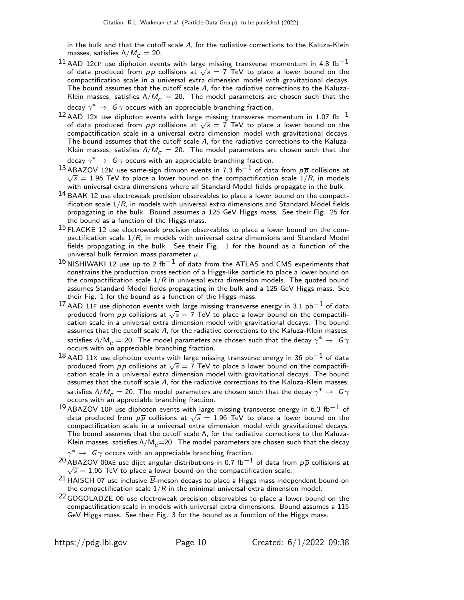in the bulk and that the cutoff scale Λ, for the radiative corrections to the Kaluza-Klein masses, satisfies  $\Lambda/M_c = 20$ .

- $^{11}$  AAD 12CP use diphoton events with large missing transverse momentum in 4.8 fb $^{-1}$ of data produced from p p collisions at  $\sqrt{s} = 7$  TeV to place a lower bound on the compactification scale in a universal extra dimension model with gravitational decays. The bound assumes that the cutoff scale  $\Lambda$ , for the radiative corrections to the Kaluza-Klein masses, satisfies  $\Lambda/M_c = 20$ . The model parameters are chosen such that the decay  $\gamma^* \to~{\texttt G}\,\gamma$  occurs with an appreciable branching fraction.
- $^{12}$  AAD 12X use diphoton events with large missing transverse momentum in 1.07 fb $^{-1}$ of data produced from  $pp$  collisions at  $\sqrt{s} = 7$  TeV to place a lower bound on the compactification scale in a universal extra dimension model with gravitational decays. The bound assumes that the cutoff scale  $\Lambda$ , for the radiative corrections to the Kaluza-Klein masses, satisfies  $\Lambda/M_c = 20$ . The model parameters are chosen such that the
- decay  $\gamma^* \to \; \mathsf{G}\, \gamma$  occurs with an appreciable branching fraction.  $^{13}$ ABAZOV 12M use same-sign dimuon events in 7.3 fb $^{-1}$  of data from  $\rho\overline{\rho}$  collisions at  $\sqrt{s}$  = 1.96 TeV to place a lower bound on the compactification scale  $1/R$ , in models with universal extra dimensions where all Standard Model fields propagate in the bulk.
- $14$  BAAK 12 use electroweak precision observables to place a lower bound on the compactification scale  $1/R$ , in models with universal extra dimensions and Standard Model fields propagating in the bulk. Bound assumes a 125 GeV Higgs mass. See their Fig. 25 for the bound as a function of the Higgs mass.
- $15$  FLACKE 12 use electroweak precision observables to place a lower bound on the compactification scale  $1/R$ , in models with universal extra dimensions and Standard Model fields propagating in the bulk. See their Fig. 1 for the bound as a function of the universal bulk fermion mass parameter  $\mu$ .
- $16$  NISHIWAKI 12 use up to 2 fb<sup>-1</sup> of data from the ATLAS and CMS experiments that constrains the production cross section of a Higgs-like particle to place a lower bound on the compactification scale  $1/R$  in universal extra dimension models. The quoted bound assumes Standard Model fields propagating in the bulk and a 125 GeV Higgs mass. See their Fig. 1 for the bound as a function of the Higgs mass.
- 17 AAD 11F use diphoton events with large missing transverse energy in 3.1 pb<sup>-1</sup> of data produced from p p collisions at  $\sqrt{s} = 7$  TeV to place a lower bound on the compactification scale in a universal extra dimension model with gravitational decays. The bound assumes that the cutoff scale Λ, for the radiative corrections to the Kaluza-Klein masses, satisfies  $\Lambda/\rm{M}_{\mathcal{C}}=20$ . The model parameters are chosen such that the decay  $\gamma^*\to~\mathsf{G}\,\gamma$ occurs with an appreciable branching fraction.
- $18$  AAD 11X use diphoton events with large missing transverse energy in 36 pb<sup>-1</sup> of data produced from  $pp$  collisions at  $\sqrt{s} = 7$  TeV to place a lower bound on the compactification scale in a universal extra dimension model with gravitational decays. The bound assumes that the cutoff scale Λ, for the radiative corrections to the Kaluza-Klein masses, satisfies  $\Lambda/M_{\mathcal{C}}=20$  . The model parameters are chosen such that the decay  $\gamma^*\to~\mathsf{G}\,\gamma$ occurs with an appreciable branching fraction.
- $19$  ABAZOV 10P use diphoton events with large missing transverse energy in 6.3 fb<sup>-1</sup> of data produced from  $p\bar{p}$  collisions at  $\sqrt{s} = 1.96$  TeV to place a lower bound on the compactification scale in a universal extra dimension model with gravitational decays. The bound assumes that the cutoff scale Λ, for the radiative corrections to the Kaluza-Klein masses, satisfies  $\Lambda/M_c$ =20. The model parameters are chosen such that the decay
- $\gamma^{*} \rightarrow \; \mathsf{G}\, \gamma$  occurs with an appreciable branching fraction.
- $^{20}$  ABAZOV 09AE use dijet angular distributions in 0.7 fb $^{-1}$  of data from  $\rho\overline{\rho}$  collisions at  $\sqrt{s} = 1.96$  TeV to place a lower bound on the compactification scale.
- <sup>21</sup> HAISCH 07 use inclusive  $\overline{B}$ -meson decays to place a Higgs mass independent bound on the compactification scale  $1/R$  in the minimal universal extra dimension model.
- $22$  GOGOLADZE 06 use electroweak precision observables to place a lower bound on the compactification scale in models with universal extra dimensions. Bound assumes a 115 GeV Higgs mass. See their Fig. 3 for the bound as a function of the Higgs mass.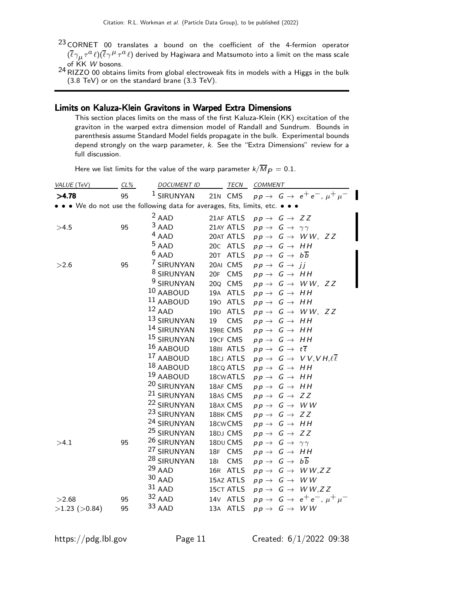- $23$  CORNET 00 translates a bound on the coefficient of the 4-fermion operator  $(\overline{\ell}\gamma_\mu\tau^a\ell)(\overline{\ell}\gamma^\mu\tau^a\ell)$  derived by Hagiwara and Matsumoto into a limit on the mass scale of KK *W* bosons.<br><sup>24</sup> RIZZO 00 obtains limits from global electroweak fits in models with a Higgs in the bulk
- (3.8 TeV) or on the standard brane (3.3 TeV).

## Limits on Kaluza-Klein Gravitons in Warped Extra Dimensions

This section places limits on the mass of the first Kaluza-Klein (KK) excitation of the graviton in the warped extra dimension model of Randall and Sundrum. Bounds in parenthesis assume Standard Model fields propagate in the bulk. Experimental bounds depend strongly on the warp parameter, k. See the "Extra Dimensions" review for a full discussion.

| Here we list limits for the value of the warp parameter $k/\overline{M}_{\cancel{P}}=0.1.$ |  |
|--------------------------------------------------------------------------------------------|--|
|--------------------------------------------------------------------------------------------|--|

| VALUE (TeV)         | $CL\%$ | <b>DOCUMENT ID</b>                                                            | <b>TECN</b>           | COMMENT                                                     |
|---------------------|--------|-------------------------------------------------------------------------------|-----------------------|-------------------------------------------------------------|
| >4.78               | 95     | <sup>1</sup> SIRUNYAN                                                         | 21N CMS               | $pp \rightarrow G \rightarrow e^+e^-$ , $\mu^+\mu^-$        |
|                     |        | • • • We do not use the following data for averages, fits, limits, etc. • • • |                       |                                                             |
|                     |        | $2$ AAD                                                                       | 21AF ATLS             | $pp \rightarrow G \rightarrow ZZ$                           |
| >4.5                | 95     | $3$ AAD                                                                       | 21AY ATLS             | $pp \rightarrow G \rightarrow \gamma \gamma$                |
|                     |        | $4$ AAD                                                                       | 20AT ATLS             | $pp \rightarrow G \rightarrow WW, ZZ$                       |
|                     |        | $5$ AAD                                                                       | 20C ATLS              | $pp \rightarrow G \rightarrow HH$                           |
|                     |        | $6$ AAD                                                                       | 20T ATLS              | $pp \rightarrow G \rightarrow b\overline{b}$                |
| >2.6                | 95     | 7 SIRUNYAN                                                                    | 20AI CMS              | $pp \rightarrow G \rightarrow jj$                           |
|                     |        | <sup>8</sup> SIRUNYAN                                                         | 20F CMS               | $pp \rightarrow G \rightarrow HH$                           |
|                     |        | <sup>9</sup> SIRUNYAN                                                         | 20 <sub>Q</sub> CMS   | $pp \rightarrow G \rightarrow WW, ZZ$                       |
|                     |        | 10 AABOUD                                                                     | 19A ATLS              | $pp \rightarrow G \rightarrow HH$                           |
|                     |        | 11 AABOUD                                                                     | 190<br>ATLS           | $pp \rightarrow G \rightarrow HH$                           |
|                     |        | $12$ AAD                                                                      | 19D ATLS              | $pp \rightarrow G \rightarrow WW, ZZ$                       |
|                     |        | 13 SIRUNYAN                                                                   | 19<br>CMS             | $pp \rightarrow G \rightarrow HH$                           |
|                     |        | 14 SIRUNYAN                                                                   | 19BE CMS              | $pp \rightarrow G \rightarrow HH$                           |
|                     |        | 15 SIRUNYAN                                                                   | 19CF CMS              | $pp \rightarrow G \rightarrow HH$                           |
|                     |        | 16 AABOUD                                                                     | 18BI ATLS             | $pp \rightarrow G \rightarrow t\overline{t}$                |
|                     |        | 17 AABOUD                                                                     | 18CJ ATLS             | $pp \rightarrow G \rightarrow VV, VH, \ell \overline{\ell}$ |
|                     |        | 18 AABOUD                                                                     | 18cQ ATLS             | $pp \rightarrow G \rightarrow HH$                           |
|                     |        | 19 AABOUD                                                                     | 18 <sub>CW</sub> ATLS | $pp \rightarrow G \rightarrow HH$                           |
|                     |        | 20 SIRUNYAN                                                                   | 18AF CMS              | $pp \rightarrow G \rightarrow HH$                           |
|                     |        | 21 SIRUNYAN                                                                   | 18AS CMS              | $pp \rightarrow G \rightarrow ZZ$                           |
|                     |        | 22 SIRUNYAN                                                                   | 18AX CMS              | $p p \rightarrow G \rightarrow W W$                         |
|                     |        | 23 SIRUNYAN                                                                   | 18BK CMS              | $pp \rightarrow G \rightarrow ZZ$                           |
|                     |        | 24 SIRUNYAN                                                                   | 18cwCMS               | $pp \rightarrow G \rightarrow HH$                           |
|                     |        | <sup>25</sup> SIRUNYAN                                                        | 18DJ CMS              | $pp \rightarrow G \rightarrow ZZ$                           |
| >4.1                | 95     | <sup>26</sup> SIRUNYAN                                                        | 18DU CMS              | $pp \rightarrow G \rightarrow \gamma \gamma$                |
|                     |        | <sup>27</sup> SIRUNYAN                                                        | 18F CMS               | $pp \rightarrow G \rightarrow HH$                           |
|                     |        | <sup>28</sup> SIRUNYAN                                                        | 181<br>CMS            | $pp \rightarrow G \rightarrow b\overline{b}$                |
|                     |        | $29$ AAD                                                                      | 16R ATLS              | $pp \rightarrow G \rightarrow WW, ZZ$                       |
|                     |        | $30$ AAD                                                                      | 15AZ ATLS             | $p p \rightarrow G \rightarrow W W$                         |
|                     |        | $31$ AAD                                                                      | <b>15CT ATLS</b>      | $pp \rightarrow G \rightarrow WW, ZZ$                       |
| >2.68               | 95     | 32 AAD                                                                        | 14 <sub>V</sub> ATLS  | $pp \rightarrow G \rightarrow e^+e^-$ , $\mu^+\mu^-$        |
| $>1.23$ ( $>0.84$ ) | 95     | 33 AAD                                                                        | 13A ATLS              | $p p \rightarrow G \rightarrow W W$                         |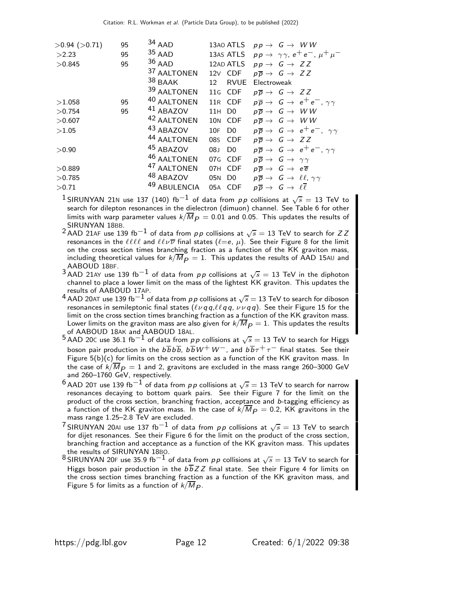| $>0.94$ ( $>0.71$ ) | 95 | $34$ AAD             | 13AO ATLS              | $p p \rightarrow G \rightarrow W W$                                |
|---------------------|----|----------------------|------------------------|--------------------------------------------------------------------|
| >2.23               | 95 | $35$ AAD             | 13AS ATLS              | $pp \rightarrow \gamma \gamma$ , $e^+e^-$ , $\mu^+\mu^-$           |
| >0.845              | 95 | $36$ AAD             | 12AD ATLS              | $pp \rightarrow G \rightarrow ZZ$                                  |
|                     |    | 37 AALTONEN          | 12V CDF                | $p\overline{p} \rightarrow G \rightarrow ZZ$                       |
|                     |    | $38$ BAAK            | <b>RVUE</b><br>12      | Electroweak                                                        |
|                     |    | 39 AALTONEN          | 11G CDF                | $p\overline{p} \rightarrow G \rightarrow ZZ$                       |
| >1.058              | 95 | 40 AALTONEN          | 11R CDF                | $p\overline{p} \rightarrow G \rightarrow e^+e^-$ , $\gamma\gamma$  |
| >0.754              | 95 | <sup>41</sup> ABAZOV | 11H DO                 | $p\overline{p} \rightarrow G \rightarrow WW$                       |
| >0.607              |    | 42 AALTONEN          | 10N CDF                | $p\overline{p} \rightarrow G \rightarrow W W$                      |
| >1.05               |    | 43 ABAZOV            | 10F<br>D <sub>0</sub>  | $p\overline{p} \rightarrow G \rightarrow e^+e^-$ , $\gamma\gamma$  |
|                     |    | 44 AALTONEN          | 08s CDF                | $p\overline{p} \rightarrow G \rightarrow ZZ$                       |
| >0.90               |    | 45 ABAZOV            | 08.1<br>D <sub>0</sub> | $p\overline{p} \rightarrow G \rightarrow e^+e^-$ , $\gamma\gamma$  |
|                     |    | 46 AALTONEN          | 07G CDF                | $p\overline{p} \rightarrow G \rightarrow \gamma\gamma$             |
| >0.889              |    | 47 AALTONEN          | 07H CDF                | $p\overline{p} \rightarrow G \rightarrow e\overline{e}$            |
| >0.785              |    | 48 ABAZOV            | 05N DO                 | $p\overline{p} \rightarrow G \rightarrow \ell \ell, \gamma \gamma$ |
| >0.71               |    | 49 ABULENCIA         | 05A CDF                | $p\overline{p} \rightarrow G \rightarrow \ell \overline{\ell}$     |
|                     |    |                      |                        |                                                                    |

 $^1$ SIRUNYAN 21N use 137 (140) fb $^{-1}$  of data from  $p\,p$  collisions at  $\sqrt{s} =$  13 TeV to search for dilepton resonances in the dielectron (dimuon) channel. See Table 6 for other limits with warp parameter values  $k/\overline{M}_{p} = 0.01$  and 0.05. This updates the results of SIRUNYAN 18BB.

- $^2$ AAD 21AF use 139 fb $^{-1}$  of data from  $\rho \rho$  collisions at  $\sqrt{s} =$  13 TeV to search for Z Z resonances in the  $\ell\ell\ell\ell$  and  $\ell\ell\nu\overline{\nu}$  final states  $(\ell = e, \mu)$ . See their Figure 8 for the limit on the cross section times branching fraction as a function of the KK graviton mass, including theoretical values for  $k/\overline{M}_{P} = 1$ . This updates the results of AAD 15AU and AABOUD 18BF.
- $^3$ AAD 21AY use 139 fb $^{-1}$  of data from  $p\,p$  collisions at  $\sqrt{s}=$  13 TeV in the diphoton channel to place a lower limit on the mass of the lightest KK graviton. This updates the results of AABOUD 17AP.
- $^4$  AAD 20AT use 139 fb $^{-1}$  of data from  $\rho \rho$  collisions at  $\sqrt{s} =$  13 TeV to search for diboson resonances in semileptonic final states  $(\ell\nu q\, q, \ell\ell qq, \nu\nu qq)$ . See their Figure 15 for the limit on the cross section times branching fraction as a function of the KK graviton mass. Lower limits on the graviton mass are also given for  $k/\overline{M}_{P} = 1$ . This updates the results
- of AABOUD 18AK and AABOUD 18AL.<br><sup>5</sup> AAD 20C use 36.1 fb<sup>−1</sup> of data from *p p* collisions at  $\sqrt{s}=$  13 TeV to search for Higgs boson pair production in the  $b\overline{b}b\overline{b}$ ,  $b\overline{b}W^+W^-$ , and  $b\overline{b}\tau^+\tau^-$  final states. See their Figure  $5(b)(c)$  for limits on the cross section as a function of the KK graviton mass. In the case of  $k/\overline{M}_{P} = 1$  and 2, gravitons are excluded in the mass range 260–3000 GeV and 260–1760 GeV, respectively.
- $^6$  AAD 20T use 139 fb $^{-1}$  of data from  $p\,p$  collisions at  $\sqrt{s}=$  13 TeV to search for narrow resonances decaying to bottom quark pairs. See their Figure 7 for the limit on the product of the cross section, branching fraction, acceptance and b-tagging efficiency as a function of the KK graviton mass. In the case of  $k/M_P = 0.2$ , KK gravitons in the mass range 1.25–2.8 TeV are excluded.
- $^7$ SIRUNYAN 20AI use 137 fb $^{-1}$  of data from  $p\,p$  collisions at  $\sqrt{s}=$  13 TeV to search for dijet resonances. See their Figure 6 for the limit on the product of the cross section, branching fraction and acceptance as a function of the KK graviton mass. This updates the results of SIRUNYAN 18BO.
- $^8$ SIRUNYAN 20F use 35.9 fb $^{-1}$  of data from  $\rho\, \rho$  collisions at  $\sqrt{s}=$  13 TeV to search for Higgs boson pair production in the  $b\overline{b}ZZ$  final state. See their Figure 4 for limits on the cross section times branching fraction as a function of the KK graviton mass, and Figure 5 for limits as a function of  $k/M_{\textit{\textbf{P}}\cdot}$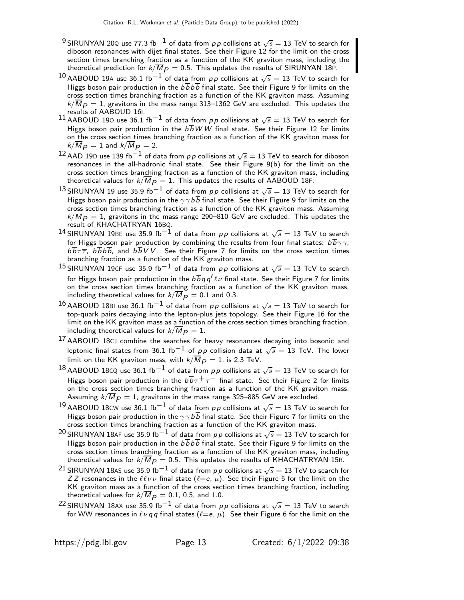- $^9$ SIRUNYAN 20Q use 77.3 fb $^{-1}$  of data from  $\rho\, \rho$  collisions at  $\sqrt{s}=$  13 TeV to search for diboson resonances with dijet final states. See their Figure 12 for the limit on the cross section times branching fraction as a function of the KK graviton mass, including the theoretical prediction for  $k/\overline{M}_{P} = 0.5$ . This updates the results of SIRUNYAN 18P.
- $^{10}$ AABOUD 19A use 36.1 fb $^{-1}$  of data from  $\rho\, \rho$  collisions at  $\sqrt{s}=$  13 TeV to search for Higgs boson pair production in the  $b\overline{b}b\overline{b}$  final state. See their Figure 9 for limits on the cross section times branching fraction as a function of the KK graviton mass. Assuming  $k/\overline{M}_{P}=1$ , gravitons in the mass range 313–1362 GeV are excluded. This updates the results of AABOUD 16I.
- $^{11}$  AABOUD 190 use 36.1 fb $^{-1}$  of data from  $\rho \rho$  collisions at  $\sqrt{s} =$  13 TeV to search for Higgs boson pair production in the  $b\overline{b}WW$  final state. See their Figure 12 for limits on the cross section times branching fraction as a function of the KK graviton mass for  $k/\overline{M}_{P} = 1$  and  $k/\overline{M}_{P} = 2$ .
- $^{12}$  AAD 19D use 139 fb $^{-1}$  of data from  $\rho\, \rho$  collisions at  $\sqrt{s}=$  13 TeV to search for diboson resonances in the all-hadronic final state. See their Figure 9(b) for the limit on the cross section times branching fraction as a function of the KK graviton mass, including theoretical values for  $k/\overline{M}_{P} = 1$ . This updates the results of AABOUD 18F.
- $^{13}$ SIRUNYAN 19 use 35.9 fb $^{-1}$  of data from  $p\,p$  collisions at  $\sqrt{s}=$  13 TeV to search for Higgs boson pair production in the  $\gamma \gamma b \overline{b}$  final state. See their Figure 9 for limits on the cross section times branching fraction as a function of the KK graviton mass. Assuming  $k/\overline{M}_{P} = 1$ , gravitons in the mass range 290–810 GeV are excluded. This updates the result of KHACHATRYAN 16BQ.
- $^{14}$ SIRUNYAN 19BE use 35.9 fb $^{-1}$  of data from  $\rho \rho$  collisions at  $\sqrt{s} = 13$  TeV to search for Higgs boson pair production by combining the results from four final states:  $b\overline{b}\gamma\gamma$ ,  $b\overline{b}\tau\overline{\tau}$ ,  $b\overline{b}b\overline{b}$ , and  $b\overline{b}VV$ . See their Figure 7 for limits on the cross section times branching fraction as a function of the KK graviton mass.
- 15 SIRUNYAN 19CF use 35.9 fb $^{-1}$  of data from  $p \, p$  collisions at  $\sqrt{s} = 13$  TeV to search for Higgs boson pair production in the  $b\,b\,q\,\overline{q}'\,\ell\,\nu$  final state. See their Figure 7 for limits on the cross section times branching fraction as a function of the KK graviton mass, including theoretical values for  $k/\overline{M}_{P} = 0.1$  and 0.3.
- $^{16}$ AABOUD 18BI use 36.1 fb $^{-1}$  of data from  $\rho\, \rho$  collisions at  $\sqrt{s}=$  13 TeV to search for top-quark pairs decaying into the lepton-plus jets topology. See their Figure 16 for the limit on the KK graviton mass as a function of the cross section times branching fraction, including theoretical values for  $k/\overline{M}_{P} = 1$ .
- <sup>17</sup> AABOUD 18CJ combine the searches for heavy resonances decaying into bosonic and leptonic final states from 36.1 fb $^{-1}$  of pp collision data at  $\sqrt{s}=13$  TeV. The lower limit on the KK graviton mass, with  $k/M_{\textit{\textbf{P}}} = 1$ , is 2.3 TeV.
- $^{18}$ AABOUD 18cQ use 36.1 fb $^{-1}$  of data from  $\rho \rho$  collisions at  $\sqrt{s}=$  13 TeV to search for Higgs boson pair production in the  $b\overline{b}\tau^{+}\tau^{-}$  final state. See their Figure 2 for limits on the cross section times branching fraction as a function of the KK graviton mass. Assuming  $\sqrt{M_P} = 1$ , gravitons in the mass range 325–885 GeV are excluded.
- $^{19}$ AABOUD 18<code>CW</code> use 36.1 fb $^{-1}$  of data from  $\rho\, \rho$  collisions at  $\sqrt{s}=$  13 TeV to search for Higgs boson pair production in the  $\gamma\gamma b\overline{b}$  final state. See their Figure 7 for limits on the cross section times branching fraction as a function of the KK graviton mass.
- $^{20}$ SIRUNYAN 18AF use 35.9 fb $^{-1}$  of data from  $\rho \rho$  collisions at  $\sqrt{s} = 13$  TeV to search for Higgs boson pair production in the  $b\overline{b}b\overline{b}$  final state. See their Figure 9 for limits on the cross section times branching fraction as a function of the KK graviton mass, including theoretical values for  $k/\overline{M}_{p} = 0.5$ . This updates the results of KHACHATRYAN 15R.
- $^{21}$ SIRUNYAN 18AS use 35.9 fb $^{-1}$  of data from  $\rho \, \rho$  collisions at  $\sqrt{s} = 13$  TeV to search for ZZ resonances in the  $\ell\ell\nu\overline{\nu}$  final state  $(\ell = e, \mu)$ . See their Figure 5 for the limit on the KK graviton mass as a function of the cross section times branching fraction, including theoretical values for  $k/\overline{M}_{P} = 0.1$ , 0.5, and 1.0.
- $^{22}$ SIRUNYAN 18AX use 35.9 fb $^{-1}$  of data from  $\rho \rho$  collisions at  $\sqrt{s} = 13$  TeV to search for WW resonances in  $\ell \nu q q$  final states ( $\ell = e, \mu$ ). See their Figure 6 for the limit on the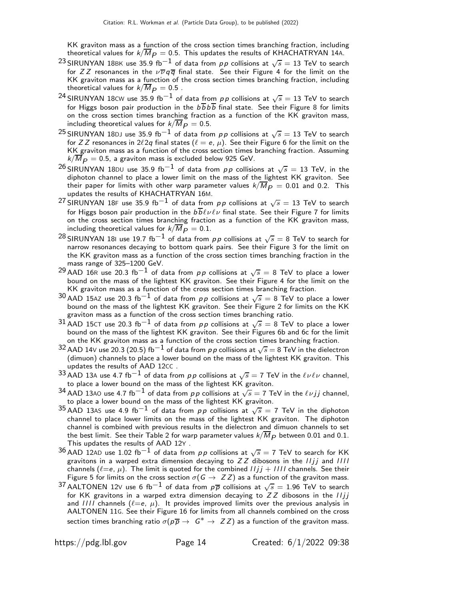KK graviton mass as a function of the cross section times branching fraction, including theoretical values for  $k/\overline{M}_{p} = 0.5$ . This updates the results of KHACHATRYAN 14A.

- $^{23}$ SIRUNYAN 18BK use 35.9 fb $^{-1}$  of data from  $p\,p$  collisions at  $\sqrt{s}=$  13 TeV to search for ZZ resonances in the  $\nu \overline{\nu} q \overline{q}$  final state. See their Figure 4 for the limit on the KK graviton mass as a function of the cross section times branching fraction, including theoretical values for  $k/\overline{M}_{P} = 0.5$ .
- $^{24}$ SIRUNYAN 18<code>CW</code> use 35.9 fb $^{-1}$  of data from  $p \, p$  collisions at  $\sqrt{s}=$  13 TeV to search for Higgs boson pair production in the  $b\overline{b}b\overline{b}$  final state. See their Figure 8 for limits on the cross section times branching fraction as a function of the KK graviton mass, including theoretical values for  $k/\overline{M}_{P} = 0.5$ .
- $^{25}$ SIRUNYAN 18DJ use 35.9 fb $^{-1}$  of data from  $\rho\, \rho$  collisions at  $\sqrt{s} =$  13 TeV to search for Z Z resonances in  $2\ell 2q$  final states  $(\ell = e, \mu)$ . See their Figure 6 for the limit on the KK graviton mass as a function of the cross section times branching fraction. Assuming  $k/\overline{M}_{P} = 0.5$ , a graviton mass is excluded below 925 GeV.
- $^{26}$ SIRUNYAN 18<code>DU</code> use 35.9 fb $^{-1}$  of data from  $p \, p$  collisions at  $\sqrt{s} =$  13 TeV, in the diphoton channel to place a lower limit on the mass of the lightest KK graviton. See their paper for limits with other warp parameter values  $k/M_P\,=\,0.01$  and 0.2. This<br>updates the results of KHACHATRYAN 16M.
- $^{27}$ SIRUNYAN 18F use 35.9 fb $^{-1}$  of data from  $p\,p$  collisions at  $\sqrt{s} =$  13 TeV to search for Higgs boson pair production in the  $b\overline{b} \ell \nu \ell \nu$  final state. See their Figure 7 for limits on the cross section times branching fraction as a function of the KK graviton mass, including theoretical values for  $k/\overline{M}_{P} = 0.1$ .
- $^{28}$ SIRUNYAN 181 use 19.7 fb $^{-1}$  of data from  $\rho\, \rho$  collisions at  $\sqrt{s}=$  8 TeV to search for narrow resonances decaying to bottom quark pairs. See their Figure 3 for the limit on the KK graviton mass as a function of the cross section times branching fraction in the mass range of 325–1200 GeV.
- $^{29}$  AAD 16R use 20.3 fb $^{-1}$  of data from  $p \, p$  collisions at  $\sqrt{s} =$  8 TeV to place a lower bound on the mass of the lightest KK graviton. See their Figure 4 for the limit on the KK graviton mass as a function of the cross section times branching fraction.
- $^{30}$  AAD 15AZ use 20.3 fb $^{-1}$  of data from  $p\,p$  collisions at  $\sqrt{s}=$  8 TeV to place a lower bound on the mass of the lightest KK graviton. See their Figure 2 for limits on the KK graviton mass as a function of the cross section times branching ratio.
- $^{31}$  AAD 15CT use 20.3 fb $^{-1}$  of data from pp collisions at  $\sqrt{s} = 8$  TeV to place a lower bound on the mass of the lightest KK graviton. See their Figures 6b and 6c for the limit on the KK graviton mass as a function of the cross section times branching fraction.
- $^{32}$  AAD 14V use 20.3 (20.5) fb $^{-1}$  of data from  $\rho\, \rho$  collisions at  $\sqrt{s} =$  8 TeV in the dielectron (dimuon) channels to place a lower bound on the mass of the lightest KK graviton. This updates the results of AAD 12CC .
- $^{33}$  AAD 13A use 4.7 fb $^{-1}$  of data from  $p\,p$  collisions at  $\sqrt{s}=$  7 TeV in the  $\ell\nu\ell\nu$  channel, to place a lower bound on the mass of the lightest KK graviton.
- $^{34}$  AAD 13A0 use 4.7 fb $^{-1}$  of data from pp collisions at  $\sqrt{s} =$  7 TeV in the  $\ell \nu jj$  channel, to place a lower bound on the mass of the lightest KK graviton.
- 35 AAD 13AS use 4.9 fb<sup>-1</sup> of data from pp collisions at  $\sqrt{s} = 7$  TeV in the diphoton channel to place lower limits on the mass of the lightest KK graviton. The diphoton channel is combined with previous results in the dielectron and dimuon channels to set the best limit. See their Table 2 for warp parameter values  $k/M_P$  between 0.01 and 0.1. This updates the results of AAD 12Y .
- $^{36}$  AAD 12AD use 1.02 fb $^{-1}$  of data from  $\rho \rho$  collisions at  $\sqrt{s} =$  7 TeV to search for KK gravitons in a warped extra dimension decaying to  $ZZ$  dibosons in the  $I\bar{I}jj$  and  $III$ channels ( $\ell = e, \mu$ ). The limit is quoted for the combined  $I/j + III$  channels. See their Figure 5 for limits on the cross section  $\sigma(G \to ZZ)$  as a function of the graviton mass.
- 37 AALTONEN 12V use 6 fb $^{-1}$  of data from  $\rho\overline{\rho}$  collisions at  $\sqrt{s}=1.96$  TeV to search for KK gravitons in a warped extra dimension decaying to  $ZZ$  dibosons in the  $I\bar{I}j\bar{I}$ and IIII channels ( $\ell = e$ ,  $\mu$ ). It provides improved limits over the previous analysis in AALTONEN 11G. See their Figure 16 for limits from all channels combined on the cross section times branching ratio  $\sigma(p\overline{p} \to G^* \to ZZ)$  as a function of the graviton mass.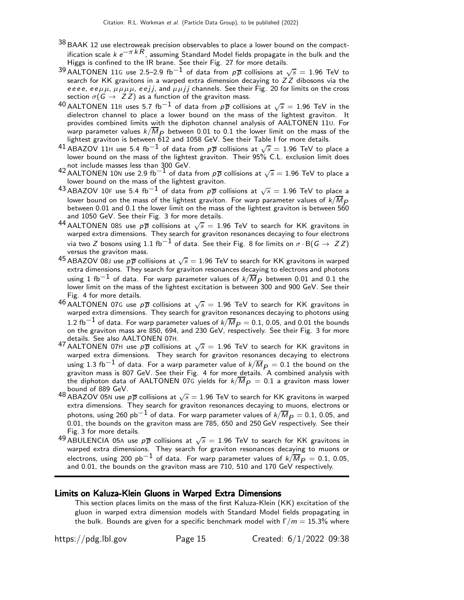- $38$  BAAK 12 use electroweak precision observables to place a lower bound on the compactification scale  $k e^{-\pi kR}$ , assuming Standard Model fields propagate in the bulk and the Higgs is confined to the IR brane. See their Fig. 27 for more details.
- $^{39}$  AALTONEN 11G use 2.5–2.9 fb $^{-1}$  of data from  $p\overline{p}$  collisions at  $\sqrt{s} =$  1.96 TeV to search for KK gravitons in a warped extra dimension decaying to  $ZZ$  dibosons via the eeee, ee $\mu\mu$ ,  $\mu\mu\mu\mu$ , eejj, and  $\mu\mu$ jj channels. See their Fig. 20 for limits on the cross section  $\sigma(G \to ZZ)$  as a function of the graviton mass.
- $^{40}$ AALTONEN 11R uses 5.7 fb $^{-1}$  of data from  $p\overline{p}$  collisions at  $\sqrt{s} =$  1.96 TeV in the dielectron channel to place a lower bound on the mass of the lightest graviton. It provides combined limits with the diphoton channel analysis of AALTONEN 11U. For warp parameter values  $k/M_P$  between 0.01 to 0.1 the lower limit on the mass of the lightest graviton is between 612 and 1058 GeV. See their Table I for more details.
- $^{41}$  ABAZOV 11H use 5.4 fb $^{-1}$  of data from  $\rho\overline{\rho}$  collisions at  $\sqrt{s} = 1.96$  TeV to place a lower bound on the mass of the lightest graviton. Their 95% C.L. exclusion limit does
- not include masses less than 300 GeV.<br><sup>42</sup> AALTONEN 10N use 2.9 fb<sup>−1</sup> of data from *p* p collisions at  $\sqrt{s} = 1.96$  TeV to place a lower bound on the mass of the lightest graviton.
- $^{43}$ ABAZOV 10F use 5.4 fb $^{-1}$  of data from  $\rho \overline{\rho}$  collisions at  $\sqrt{s} = 1.96$  TeV to place a lower bound on the mass of the lightest graviton. For warp parameter values of  $k/\overline{M}_{\overline{P}}$ between 0.01 and 0.1 the lower limit on the mass of the lightest graviton is between 560 and 1050 GeV. See their Fig. 3 for more details.
- 44 AALTONEN 085 use  $p\overline{p}$  collisions at  $\sqrt{s} = 1.96$  TeV to search for KK gravitons in warped extra dimensions. They search for graviton resonances decaying to four electrons via two Z bosons using 1.1 fb<sup>-1</sup> of data. See their Fig. 8 for limits on  $\sigma \cdot B(G \to ZZ)$ versus the graviton mass.
- $^{45}$ ABAZOV 08J use  $p\overline{p}$  collisions at  $\sqrt{s}=1.96$  TeV to search for KK gravitons in warped extra dimensions. They search for graviton resonances decaying to electrons and photons using 1 fb $^{-1}$  of data. For warp parameter values of  $k/\overline{M}_{P}$  between 0.01 and 0.1 the lower limit on the mass of the lightest excitation is between 300 and 900 GeV. See their Fig. 4 for more details.
- $^{46}$ AALTONEN 07G use  $p\overline{p}$  collisions at  $\sqrt{s} = 1.96$  TeV to search for KK gravitons in warped extra dimensions. They search for graviton resonances decaying to photons using 1.2 fb<sup>-1</sup> of data. For warp parameter values of  $k/\overline{M}_{P} = 0.1$ , 0.05, and 0.01 the bounds on the graviton mass are 850, 694, and 230 GeV, respectively. See their Fig. 3 for more details. See also AALTONEN 07H.
- 47 AALTONEN 07H use  $p\overline{p}$  collisions at  $\sqrt{s} = 1.96$  TeV to search for KK gravitons in warped extra dimensions. They search for graviton resonances decaying to electrons using 1.3 fb<sup>-1</sup> of data. For a warp parameter value of  $k/\overline{M}_{P} = 0.1$  the bound on the graviton mass is 807 GeV. See their Fig. 4 for more details. A combined analysis with the diphoton data of AALTONEN 07G yields for  $k/\overline{M}_{P} = 0.1$  a graviton mass lower bound of 889 GeV.
- 48 ABAZOV 05N use  $p\overline{p}$  collisions at  $\sqrt{s} = 1.96$  TeV to search for KK gravitons in warped extra dimensions. They search for graviton resonances decaying to muons, electrons or photons, using 260 pb<sup>-1</sup> of data. For warp parameter values of  $k/\overline{M}_{P} = 0.1$ , 0.05, and 0.01, the bounds on the graviton mass are 785, 650 and 250 GeV respectively. See their Fig. 3 for more details.
- $^{49}$ ABULENCIA 05A use  $p\overline{p}$  collisions at  $\sqrt{s} = 1.96$  TeV to search for KK gravitons in warped extra dimensions. They search for graviton resonances decaying to muons or electrons, using 200 pb<sup>-1</sup> of data. For warp parameter values of  $k/\overline{M}_{P} = 0.1, 0.05$ , and 0.01, the bounds on the graviton mass are 710, 510 and 170 GeV respectively.

#### Limits on Kaluza-Klein Gluons in Warped Extra Dimensions

This section places limits on the mass of the first Kaluza-Klein (KK) excitation of the gluon in warped extra dimension models with Standard Model fields propagating in the bulk. Bounds are given for a specific benchmark model with  $\Gamma/m = 15.3\%$  where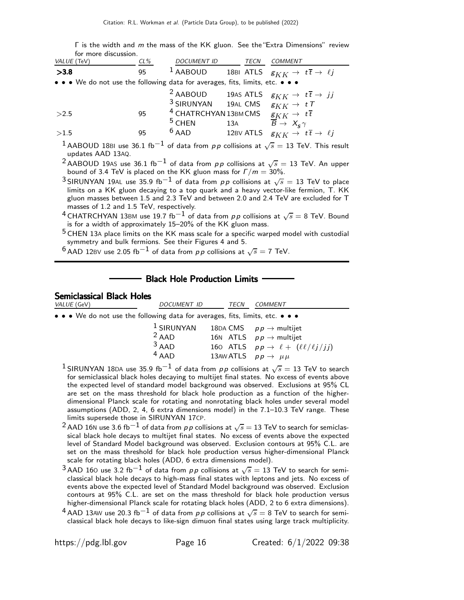Γ is the width and m the mass of the KK gluon. See the"Extra Dimensions" review for more discussion.

| VALUE (TeV)                                                                                                                            | $CL\%$ | DOCUMENT ID TECN COMMENT                                                                                                                 |  |                                                                                                                   |  |  |  |
|----------------------------------------------------------------------------------------------------------------------------------------|--------|------------------------------------------------------------------------------------------------------------------------------------------|--|-------------------------------------------------------------------------------------------------------------------|--|--|--|
| >3.8                                                                                                                                   | 95     |                                                                                                                                          |  | <sup>1</sup> AABOUD 18BI ATLS $g_{KK} \rightarrow t\overline{t} \rightarrow \ell j$                               |  |  |  |
| • • • We do not use the following data for averages, fits, limits, etc. • • •                                                          |        |                                                                                                                                          |  |                                                                                                                   |  |  |  |
|                                                                                                                                        |        | <sup>3</sup> SIRUNYAN 19AL CMS $g_{KK} \rightarrow tT$                                                                                   |  | <sup>2</sup> AABOUD 19AS ATLS $g_{KK} \rightarrow t\overline{t} \rightarrow jj$                                   |  |  |  |
| >2.5                                                                                                                                   | 95     | <sup>4</sup> CHATRCHYAN 13BM CMS $g_{KK} \rightarrow t\overline{t}$<br><sup>5</sup> CHEN 13A $\overrightarrow{B} \rightarrow X_s \gamma$ |  |                                                                                                                   |  |  |  |
| >1.5                                                                                                                                   | 95     |                                                                                                                                          |  | 6 AAD 12BV ATLS $g_{KK} \rightarrow t\overline{t} \rightarrow \ell j$                                             |  |  |  |
| <sup>1</sup> AABOUD 18BI use 36.1 fb <sup>-1</sup> of data from pp collisions at $\sqrt{s}$ = 13 TeV. This result<br>updates AAD 13AQ. |        |                                                                                                                                          |  |                                                                                                                   |  |  |  |
|                                                                                                                                        |        |                                                                                                                                          |  | <sup>2</sup> AABOUD 19AS use 36.1 fb <sup>-1</sup> of data from $p p$ collisions at $\sqrt{s} = 13$ TeV. An upper |  |  |  |

bound of 3.4 TeV is placed on the KK gluon mass for  $\Gamma/m = 30\%$ .  $^3$ SIRUNYAN 19<code>AL</code> use 35.9 fb $^{-1}$  of data from  $p\,p$  collisions at  $\sqrt{s}=$  13 TeV to place limits on a KK gluon decaying to a top quark and a heavy vector-like fermion, T. KK

gluon masses between 1.5 and 2.3 TeV and between 2.0 and 2.4 TeV are excluded for T masses of 1.2 and 1.5 TeV, respectively.

 $^4$ CHATRCHYAN 13BM use 19.7 fb $^{-1}$  of data from  $\rho \, \rho$  collisions at  $\sqrt{s} =$  8 TeV. Bound is for a width of approximately 15–20% of the KK gluon mass.

 $^5$  CHEN 13A place limits on the KK mass scale for a specific warped model with custodial symmetry and bulk fermions. See their Figures 4 and 5.

 $^6$  AAD 12BV use 2.05 fb $^{-1}$  of data from  $pp$  collisions at  $\sqrt{s}=$  7 TeV.

### Black Hole Production Limits

## Semiclassical Black Holes

| VALUE (GeV)                                                                                                    | <b>DOCUMENT ID</b>                                                            | TECN | COMMENT                                                                                                                                                                       |
|----------------------------------------------------------------------------------------------------------------|-------------------------------------------------------------------------------|------|-------------------------------------------------------------------------------------------------------------------------------------------------------------------------------|
|                                                                                                                | • • • We do not use the following data for averages, fits, limits, etc. • • • |      |                                                                                                                                                                               |
|                                                                                                                | $1$ SIRUNYAN<br>$2$ AAD<br>$3$ AAD<br>$4$ AAD                                 |      | 18DA CMS $p p \rightarrow$ multijet<br>16N ATLS $pp \rightarrow$ multijet<br>160 ATLS $pp \rightarrow \ell + (\ell \ell / \ell j / jj)$<br>13AW ATLS $pp \rightarrow \mu \mu$ |
| . 1. 2020 de la característica de la característica de la característica de la característica de la caracterís |                                                                               |      |                                                                                                                                                                               |

- <sup>1</sup> SIRUNYAN 18DA use 35.9 fb $^{-1}$  of data from  $p \, p$  collisions at  $\sqrt{s} =$  13 TeV to search for semiclassical black holes decaying to multijet final states. No excess of events above the expected level of standard model background was observed. Exclusions at 95% CL are set on the mass threshold for black hole production as a function of the higherdimensional Planck scale for rotating and nonrotating black holes under several model assumptions (ADD, 2, 4, 6 extra dimensions model) in the 7.1–10.3 TeV range. These limits supersede those in SIRUNYAN 17CP.
- $^2$ AAD 16N use 3.6 fb $^{-1}$  of data from  $\rho\, \rho$  collisions at  $\sqrt{s} =$  13 TeV to search for semiclassical black hole decays to multijet final states. No excess of events above the expected level of Standard Model background was observed. Exclusion contours at 95% C.L. are set on the mass threshold for black hole production versus higher-dimensional Planck scale for rotating black holes (ADD, 6 extra dimensions model).
- $^3$ AAD 160 use 3.2 fb $^{-1}$  of data from  $\rho\, \rho$  collisions at  $\sqrt{s}=$  13 TeV to search for semiclassical black hole decays to high-mass final states with leptons and jets. No excess of events above the expected level of Standard Model background was observed. Exclusion contours at 95% C.L. are set on the mass threshold for black hole production versus higher-dimensional Planck scale for rotating black holes (ADD, 2 to 6 extra dimensions).
- $^4$  AAD 13AW use 20.3 fb $^{-1}$  of data from  $p\,p$  collisions at  $\sqrt{s}=$  8 TeV to search for semiclassical black hole decays to like-sign dimuon final states using large track multiplicity.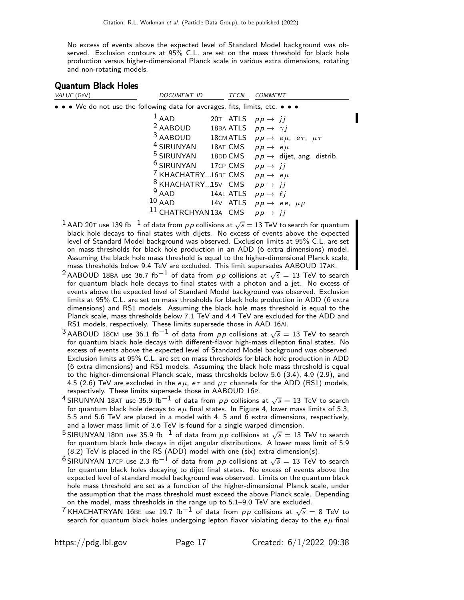No excess of events above the expected level of Standard Model background was observed. Exclusion contours at 95% C.L. are set on the mass threshold for black hole production versus higher-dimensional Planck scale in various extra dimensions, rotating and non-rotating models.

#### Quantum Black Holes

| VALUE (GeV)                                                                                                                   | <b>DOCUMENT ID</b>                                                                                                                                                                                                      | <b>TECN</b>                                                                                    | <b>COMMENT</b>                                                                                                                                                                                        |  |
|-------------------------------------------------------------------------------------------------------------------------------|-------------------------------------------------------------------------------------------------------------------------------------------------------------------------------------------------------------------------|------------------------------------------------------------------------------------------------|-------------------------------------------------------------------------------------------------------------------------------------------------------------------------------------------------------|--|
| $\bullet$ $\bullet$ $\bullet$ We do not use the following data for averages, fits, limits, etc. $\bullet$ $\bullet$ $\bullet$ |                                                                                                                                                                                                                         |                                                                                                |                                                                                                                                                                                                       |  |
|                                                                                                                               | $1$ AAD<br>$2$ AABOUD<br>$3$ AABOUD<br><sup>4</sup> SIRUNYAN<br><sup>6</sup> SIRUNYAN 17CP CMS $pp \rightarrow jj$<br><sup>7</sup> KHACHATRY16BE CMS $pp \rightarrow e \mu$<br><sup>8</sup> KHACHATRY15V CMS<br>$9$ AAD | 20T ATLS<br>18BA ATLS $pp \rightarrow \gamma j$<br>18AT CMS $pp \rightarrow e\mu$<br>14AL ATLS | $pp \rightarrow ii$<br>18CMATLS $pp \rightarrow e\mu$ , $e\tau$ , $\mu\tau$<br><sup>5</sup> SIRUNYAN 18DD CMS $pp \rightarrow$ dijet, ang. distrib.<br>$pp \rightarrow jj$<br>$pp \rightarrow \ell j$ |  |
|                                                                                                                               | $10$ AAD<br><sup>11</sup> CHATRCHYAN 13A CMS                                                                                                                                                                            | 14V ATLS                                                                                       | $pp \rightarrow ee, \mu\mu$<br>$pp \rightarrow ii$                                                                                                                                                    |  |
|                                                                                                                               |                                                                                                                                                                                                                         |                                                                                                |                                                                                                                                                                                                       |  |

- $^1$  AAD 20T use 139 fb $^{-1}$  of data from  $\rho\, \rho$  collisions at  $\sqrt s=$  13 TeV to search for quantum black hole decays to final states with dijets. No excess of events above the expected level of Standard Model background was observed. Exclusion limits at 95% C.L. are set on mass thresholds for black hole production in an ADD (6 extra dimensions) model. Assuming the black hole mass threshold is equal to the higher-dimensional Planck scale, mass thresholds below 9.4 TeV are excluded. This limit supersedes AABOUD 17AK.
- $^2$ AABOUD 18BA use 36.7 fb $^{-1}$  of data from  $\rho \rho$  collisions at  $\sqrt{s} =$  13 TeV to search for quantum black hole decays to final states with a photon and a jet. No excess of events above the expected level of Standard Model background was observed. Exclusion limits at 95% C.L. are set on mass thresholds for black hole production in ADD (6 extra dimensions) and RS1 models. Assuming the black hole mass threshold is equal to the Planck scale, mass thresholds below 7.1 TeV and 4.4 TeV are excluded for the ADD and RS1 models, respectively. These limits supersede those in AAD 16AI.
- $^3$ AABOUD 18CM use 36.1 fb $^{-1}$  of data from  $p\,p$  collisions at  $\sqrt{s}=$  13 TeV to search for quantum black hole decays with different-flavor high-mass dilepton final states. No excess of events above the expected level of Standard Model background was observed. Exclusion limits at 95% C.L. are set on mass thresholds for black hole production in ADD (6 extra dimensions) and RS1 models. Assuming the black hole mass threshold is equal to the higher-dimensional Planck scale, mass thresholds below 5.6 (3.4), 4.9 (2.9), and 4.5 (2.6) TeV are excluded in the e $\mu$ , e $\tau$  and  $\mu\tau$  channels for the ADD (RS1) models, respectively. These limits supersede those in AABOUD 16P.
- $^4$ SIRUNYAN 18AT use 35.9 fb $^{-1}$  of data from  $p\,p$  collisions at  $\sqrt{s}=$  13 TeV to search for quantum black hole decays to  $e\mu$  final states. In Figure 4, lower mass limits of 5.3, 5.5 and 5.6 TeV are placed in a model with 4, 5 and 6 extra dimensions, respectively, and a lower mass limit of 3.6 TeV is found for a single warped dimension.
- $^5$ SIRUNYAN 18DD use 35.9 fb $^{-1}$  of data from  $p\,p$  collisions at  $\sqrt{s}=$  13 TeV to search for quantum black hole decays in dijet angular distributions. A lower mass limit of 5.9 (8.2) TeV is placed in the RS (ADD) model with one (six) extra dimension(s).
- $^6$ SIRUNYAN 17CP use 2.3 fb $^{-1}$  of data from  $p\,p$  collisions at  $\sqrt{s}=$  13 TeV to search for quantum black holes decaying to dijet final states. No excess of events above the expected level of standard model background was observed. Limits on the quantum black hole mass threshold are set as a function of the higher-dimensional Planck scale, under the assumption that the mass threshold must exceed the above Planck scale. Depending on the model, mass thresholds in the range up to 5.1–9.0 TeV are excluded.
- $^7$ KHACHATRYAN 16BE use 19.7 fb $^{-1}$  of data from  $p\,p$  collisions at  $\sqrt{s} =$  8 TeV to search for quantum black holes undergoing lepton flavor violating decay to the  $e\mu$  final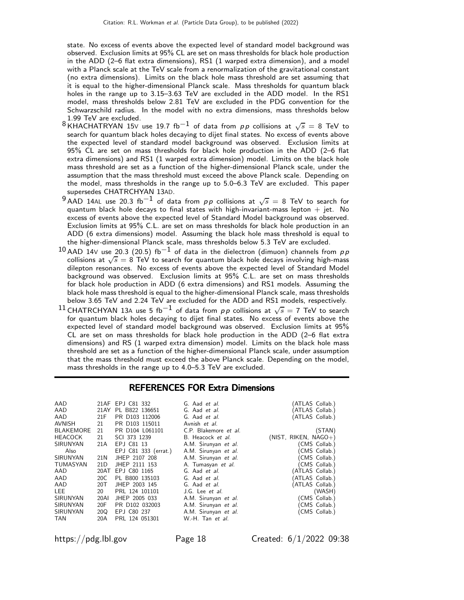state. No excess of events above the expected level of standard model background was observed. Exclusion limits at 95% CL are set on mass thresholds for black hole production in the ADD (2–6 flat extra dimensions), RS1 (1 warped extra dimension), and a model with a Planck scale at the TeV scale from a renormalization of the gravitational constant (no extra dimensions). Limits on the black hole mass threshold are set assuming that it is equal to the higher-dimensional Planck scale. Mass thresholds for quantum black holes in the range up to 3.15–3.63 TeV are excluded in the ADD model. In the RS1 model, mass thresholds below 2.81 TeV are excluded in the PDG convention for the Schwarzschild radius. In the model with no extra dimensions, mass thresholds below 1.99 TeV are excluded.

- 8 KHACHATRYAN 15V use 19.7 fb<sup>-1</sup> of data from pp collisions at  $\sqrt{s} = 8$  TeV to search for quantum black holes decaying to dijet final states. No excess of events above the expected level of standard model background was observed. Exclusion limits at 95% CL are set on mass thresholds for black hole production in the ADD (2–6 flat extra dimensions) and RS1 (1 warped extra dimension) model. Limits on the black hole mass threshold are set as a function of the higher-dimensional Planck scale, under the assumption that the mass threshold must exceed the above Planck scale. Depending on the model, mass thresholds in the range up to 5.0–6.3 TeV are excluded. This paper supersedes CHATRCHYAN 13AD.
- $^9$ AAD 14AL use 20.3 fb $^{-1}$  of data from  $\rho\, \rho$  collisions at  $\sqrt{s} \, = \, 8$  TeV to search for quantum black hole decays to final states with high-invariant-mass lepton  $+$  jet. No excess of events above the expected level of Standard Model background was observed. Exclusion limits at 95% C.L. are set on mass thresholds for black hole production in an ADD (6 extra dimensions) model. Assuming the black hole mass threshold is equal to the higher-dimensional Planck scale, mass thresholds below 5.3 TeV are excluded.
- $10$  AAD 14V use 20.3 (20.5) fb<sup>-1</sup> of data in the dielectron (dimuon) channels from pp collisions at  $\sqrt{s} = 8$  TeV to search for quantum black hole decays involving high-mass dilepton resonances. No excess of events above the expected level of Standard Model background was observed. Exclusion limits at 95% C.L. are set on mass thresholds for black hole production in ADD (6 extra dimensions) and RS1 models. Assuming the black hole mass threshold is equal to the higher-dimensional Planck scale, mass thresholds below 3.65 TeV and 2.24 TeV are excluded for the ADD and RS1 models, respectively.
- $^{11}$  CHATRCHYAN 13A use 5 fb $^{-1}$  of data from  $p \, p$  collisions at  $\sqrt{s} =$  7 TeV to search for quantum black holes decaying to dijet final states. No excess of events above the expected level of standard model background was observed. Exclusion limits at 95% CL are set on mass thresholds for black hole production in the ADD (2–6 flat extra dimensions) and RS (1 warped extra dimension) model. Limits on the black hole mass threshold are set as a function of the higher-dimensional Planck scale, under assumption that the mass threshold must exceed the above Planck scale. Depending on the model, mass thresholds in the range up to 4.0–5.3 TeV are excluded.

## REFERENCES FOR Extra Dimensions

| AAD              |       | 21AF EPJ C81 332     | G. Aad et al.            | (ATLAS Collab.)        |
|------------------|-------|----------------------|--------------------------|------------------------|
| AAD              | 21 AY | PL B822 136651       | G. Aad et al.            | (ATLAS Collab.)        |
| AAD              | 21F   | PR D103 112006       | G. Aad et al.            | (ATLAS Collab.)        |
| AVNISH           | 21    | PR D103 115011       | Avnish et al.            |                        |
| <b>BLAKEMORE</b> | 21    | PR D104 L061101      | C.P. Blakemore et al.    | (STAN)                 |
| <b>HEACOCK</b>   | 21    | SCI 373 1239         | B. Heacock <i>et al.</i> | $(NIST, RIKEN, NAGO+)$ |
| <b>SIRUNYAN</b>  | 21A   | EPJ C81 13           | A.M. Sirunyan et al.     | (CMS Collab.)          |
| Also             |       | EPJ C81 333 (errat.) | A.M. Sirunyan et al.     | (CMS Collab.)          |
| SIRUNYAN         | 21N   | JHEP 2107 208        | A.M. Sirunyan et al.     | (CMS Collab.)          |
| <b>TUMASYAN</b>  | 21D   | JHEP 2111 153        | A. Tumasyan et al.       | (CMS Collab.)          |
| AAD              | 20AT  | EPJ C80 1165         | G. Aad et al.            | (ATLAS Collab.)        |
| AAD              | 20C   | PL B800 135103       | G. Aad et al.            | (ATLAS Collab.)        |
| AAD              | 20T   | JHEP 2003 145        | G. Aad et al.            | (ATLAS Collab.)        |
| <b>LEE</b>       | 20    | PRL 124 101101       | J.G. Lee et al.          | (WASH)                 |
| <b>SIRUNYAN</b>  | 20AI  | JHEP 2005 033        | A.M. Sirunyan et al.     | (CMS Collab.)          |
| SIRUNYAN         | 20F   | PR D102 032003       | A.M. Sirunyan et al.     | (CMS Collab.)          |
| SIRUNYAN         | 20Q   | EPJ C80 237          | A.M. Sirunyan et al.     | (CMS Collab.)          |
| TAN              | 20A   | PRL 124 051301       | W.-H. Tan et al.         |                        |

https://pdg.lbl.gov Page 18 Created: 6/1/2022 09:38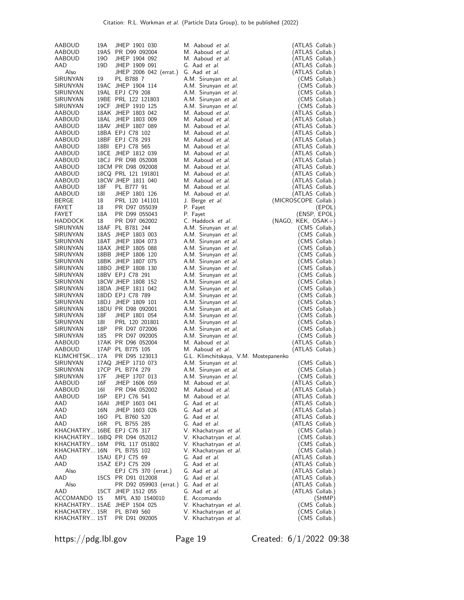| AABOUD                         | 19A             | JHEP 1901 030                            | M. Aaboud et al.                               | (ATLAS Collab.)                |
|--------------------------------|-----------------|------------------------------------------|------------------------------------------------|--------------------------------|
| AABOUD                         |                 | 19AS PR D99 092004                       | M. Aaboud et al.                               | (ATLAS Collab.)                |
| AABOUD                         | 190             | JHEP 1904 092                            | M. Aaboud et al.                               | (ATLAS Collab.)                |
| AAD                            | 19 <sub>D</sub> | JHEP 1909 091                            | G. Aad et al.                                  | (ATLAS Collab.)                |
| Also                           |                 | JHEP 2006 042 (errat.)                   | G. Aad et al.                                  | (ATLAS Collab.)                |
| SIRUNYAN                       | 19              | PL B788 7                                | A.M. Sirunyan et al.                           | (CMS Collab.)                  |
| SIRUNYAN                       |                 | 19AC JHEP 1904 114                       | A.M. Sirunyan et al.                           | (CMS Collab.)                  |
| SIRUNYAN                       |                 | 19AL EPJ C79 208                         | A.M. Sirunyan et al.                           | (CMS Collab.)                  |
| SIRUNYAN                       |                 | 19BE PRL 122 121803                      | A.M. Sirunyan et al.                           | (CMS Collab.)                  |
| SIRUNYAN                       |                 | 19CF JHEP 1910 125                       | A.M. Sirunyan et al.                           | (CMS Collab.)                  |
| AABOUD                         |                 | 18AK JHEP 1803 042                       | M. Aaboud et al.                               | (ATLAS Collab.)                |
| AABOUD                         |                 | 18AL JHEP 1803 009                       | M. Aaboud et al.                               | (ATLAS Collab.)                |
| AABOUD                         |                 | 18AV JHEP 1807 089                       | M. Aaboud et al.                               | (ATLAS Collab.)                |
| AABOUD                         |                 | 18BA EPJ C78 102                         | M. Aaboud et al.                               | (ATLAS Collab.)                |
| AABOUD                         |                 | 18BF EPJ C78 293                         | M. Aaboud et al.                               | (ATLAS Collab.)                |
| AABOUD                         | 18BI            | EPJ C78 565                              | M. Aaboud et al.                               | (ATLAS Collab.)                |
| AABOUD                         |                 | 18CE JHEP 1812 039                       | M. Aaboud et al.                               | (ATLAS Collab.)                |
| AABOUD                         |                 | 18CJ PR D98 052008                       | M. Aaboud et al.                               | (ATLAS Collab.)                |
| AABOUD                         |                 | 18CM PR D98 092008                       | M. Aaboud et al.                               | (ATLAS Collab.)                |
| AABOUD                         |                 | 18CQ PRL 121 191801                      | M. Aaboud et al.                               | (ATLAS Collab.)                |
| AABOUD                         |                 | 18CW JHEP 1811 040                       | M. Aaboud et al.                               | (ATLAS Collab.)                |
| AABOUD                         | 18F             | PL B777 91                               | M. Aaboud et al.                               | (ATLAS Collab.)                |
| AABOUD                         | 18I             | JHEP 1801 126                            | M. Aaboud et al.                               | (ATLAS Collab.)                |
| BERGE                          | 18              | PRL 120 141101                           | J. Berge <i>et al.</i>                         | (MICROSCOPE Collab.)           |
| FAYET                          | 18              | PR D97 055039<br>PR D99 055043           | P. Fayet                                       | (EPOL)                         |
| <b>FAYET</b><br><b>HADDOCK</b> | 18A<br>18       |                                          | P. Fayet                                       | (ENSP, EPOL)                   |
|                                |                 | PR D97 062002<br>18AF PL B781 244        | C. Haddock et al.                              | $(NAGO, KEK, OSAK+)$           |
| SIRUNYAN<br>SIRUNYAN           |                 |                                          | A.M. Sirunyan et al.                           | (CMS Collab.)                  |
|                                |                 | 18AS JHEP 1803 003<br>18AT JHEP 1804 073 | A.M. Sirunyan et al.                           | (CMS Collab.)<br>(CMS Collab.) |
| SIRUNYAN<br>SIRUNYAN           |                 | 18AX JHEP 1805 088                       | A.M. Sirunyan et al.                           |                                |
| SIRUNYAN                       |                 | 18BB JHEP 1806 120                       | A.M. Sirunyan et al.<br>A.M. Sirunyan et al.   | (CMS Collab.)<br>(CMS Collab.) |
| SIRUNYAN                       |                 | 18BK JHEP 1807 075                       | A.M. Sirunyan et al.                           | (CMS Collab.)                  |
| SIRUNYAN                       |                 | 18BO JHEP 1808 130                       | A.M. Sirunyan et al.                           | (CMS Collab.)                  |
| SIRUNYAN                       |                 | 18BV EPJ C78 291                         | A.M. Sirunyan et al.                           | (CMS Collab.)                  |
| SIRUNYAN                       |                 | 18CW JHEP 1808 152                       | A.M. Sirunyan et al.                           | (CMS Collab.)                  |
| SIRUNYAN                       |                 | 18DA JHEP 1811 042                       | A.M. Sirunyan et al.                           | (CMS Collab.)                  |
| SIRUNYAN                       |                 | 18DD EPJ C78 789                         | A.M. Sirunyan et al.                           | (CMS Collab.)                  |
| SIRUNYAN                       |                 | 18DJ JHEP 1809 101                       | A.M. Sirunyan et al.                           | (CMS Collab.)                  |
| SIRUNYAN                       |                 | 18DU PR D98 092001                       | A.M. Sirunyan et al.                           | (CMS Collab.)                  |
| SIRUNYAN                       | 18F             | JHEP 1801 054                            | A.M. Sirunyan et al.                           | (CMS Collab.)                  |
| SIRUNYAN                       | 18I             | PRL 120 201801                           | A.M. Sirunyan et al.                           | (CMS Collab.)                  |
| SIRUNYAN                       | 18P             | PR D97 072006                            | A.M. Sirunyan et al.                           | (CMS Collab.)                  |
| SIRUNYAN                       | 18S             | PR D97 092005                            | A.M. Sirunyan et al.                           | (CMS Collab.)                  |
| AABOUD                         |                 | 17AK PR D96 052004                       | M. Aaboud et al.                               | (ATLAS Collab.)                |
| AABOUD                         |                 | 17AP PL B775 105                         | M. Aaboud et al.                               | (ATLAS Collab.)                |
| KLIMCHITSK 17A                 |                 | PR D95 123013                            | G.L. Klimchitskaya, V.M. Mostepanenko          |                                |
| SIRUNYAN                       |                 | 17AQ JHEP 1710 073                       | A.M. Sirunyan et al.                           | (CMS Collab.)                  |
| SIRUNYAN                       |                 | 17CP PL B774 279                         | A.M. Sirunyan et al.                           | (CMS Collab.)                  |
| SIRUNYAN                       | 17F             | JHEP 1707 013                            | A.M. Sirunyan et al.                           | (CMS Collab.)                  |
| AABOUD                         | 16F             | JHEP 1606 059                            | M. Aaboud <i>et al.</i>                        | (ATLAS Collab.)                |
| AABOUD                         | 16I             | PR D94 052002                            | M. Aaboud et al.                               | (ATLAS Collab.)                |
| AABOUD                         | 16P             | EPJ C76 541                              | M. Aaboud et al.                               | (ATLAS Collab.)                |
| AAD                            | 16AI            | JHEP 1603 041                            | G. Aad et al.                                  | (ATLAS Collab.)                |
| AAD                            | 16N             | JHEP 1603 026                            | G. Aad et al.                                  | (ATLAS Collab.)                |
| AAD                            | 160             | PL B760 520                              | G. Aad et al.                                  | (ATLAS Collab.)                |
| AAD                            | 16R             | PL B755 285                              | G. Aad et al.                                  | (ATLAS Collab.)                |
| KHACHATRY 16BE EPJ C76 317     |                 |                                          | V. Khachatryan et al.                          | (CMS Collab.)                  |
|                                |                 | KHACHATRY 16BQ PR D94 052012             | V. Khachatryan et al.                          | (CMS Collab.)                  |
| KHACHATRY 16M                  |                 | PRL 117 051802                           | V. Khachatryan et al.                          | (CMS Collab.)                  |
| KHACHATRY 16N                  |                 | PL B755 102                              | V. Khachatryan et al.                          | (CMS Collab.)                  |
| AAD                            |                 | 15AU EPJ C75 69                          | G. Aad et al.                                  | (ATLAS Collab.)                |
| AAD                            |                 | 15AZ EPJ C75 209                         | G. Aad et al.                                  | (ATLAS Collab.)                |
| Also                           |                 | EPJ C75 370 (errat.)                     | G. Aad et al.                                  | (ATLAS Collab.)                |
| AAD                            |                 | 15CS PR D91 012008                       | G. Aad et al.                                  | (ATLAS Collab.)                |
| Also                           |                 | PR D92 059903 (errat.)                   | G. Aad et al.                                  | (ATLAS Collab.)                |
| AAD                            |                 |                                          |                                                |                                |
|                                |                 | 15CT JHEP 1512 055                       | G. Aad et al.                                  | (ATLAS Collab.)                |
| ACCOMANDO 15                   |                 | MPL A30 1540010                          | E. Accomando                                   | (SHMP)                         |
|                                |                 | KHACHATRY 15AE JHEP 1504 025             | V. Khachatryan et al.                          | (CMS Collab.)                  |
| KHACHATRY 15R<br>KHACHATRY 15T |                 | PL B749 560<br>PR D91 092005             | V. Khachatryan et al.<br>V. Khachatryan et al. | (CMS Collab.)<br>(CMS Collab.) |

https://pdg.lbl.gov Page 19 Created: 6/1/2022 09:38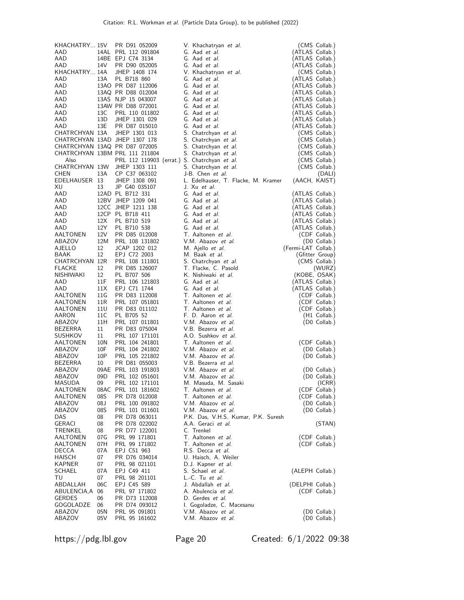| KHACHATRY 15V        |            | PR D91 052009                                                   | V. Khachatryan et al.                        | (CMS Collab.)                      |
|----------------------|------------|-----------------------------------------------------------------|----------------------------------------------|------------------------------------|
| AAD                  |            | 14AL PRL 112 091804                                             | G. Aad <i>et al.</i>                         | (ATLAS Collab.)                    |
| AAD                  |            | 14BE EPJ C74 3134                                               | G. Aad et al.                                | (ATLAS Collab.)                    |
| AAD<br>KHACHATRY 14A | 14V        | PR D90 052005<br>JHEP 1408 174                                  | G. Aad et al.<br>V. Khachatryan et al.       | (ATLAS Collab.)<br>(CMS Collab.)   |
| AAD                  | 13A        | PL B718 860                                                     | G. Aad et al.                                | (ATLAS Collab.)                    |
| AAD                  |            | 13AO PR D87 112006                                              | G. Aad et al.                                | (ATLAS Collab.)                    |
| AAD                  |            | 13AQ PR D88 012004                                              | G. Aad et al.                                | (ATLAS Collab.)                    |
| AAD                  |            | 13AS NJP 15 043007                                              | G. Aad et al.                                | (ATLAS Collab.)                    |
| AAD                  |            | 13AW PR D88 072001                                              | G. Aad et al.                                | (ATLAS Collab.)                    |
| AAD                  | 13C        | PRL 110 011802                                                  | G. Aad et al.                                | (ATLAS Collab.)                    |
| AAD                  | 13D        | JHEP 1301 029                                                   | G. Aad et al.                                | (ATLAS Collab.)                    |
| AAD                  | 13E        | PR D87 015010                                                   | G. Aad et al.                                | (ATLAS Collab.)                    |
| CHATRCHYAN 13A       |            | JHEP 1301 013                                                   | S. Chatrchyan et al.                         | (CMS Collab.)                      |
|                      |            | CHATRCHYAN 13AD JHEP 1307 178                                   | S. Chatrchyan et al.                         | (CMS Collab.)                      |
|                      |            | CHATRCHYAN 13AQ PR D87 072005<br>CHATRCHYAN 13BM PRL 111 211804 | S. Chatrchyan et al.<br>S. Chatrchyan et al. | (CMS Collab.)<br>(CMS Collab.)     |
| Also                 |            |                                                                 | PRL 112 119903 (errat.) S. Chatrchyan et al. | (CMS Collab.)                      |
| CHATRCHYAN 13W       |            | JHEP 1303 111                                                   | S. Chatrchyan et al.                         | (CMS Collab.)                      |
| CHEN                 | 13A        | CP C37 063102                                                   | J-B. Chen et al.                             | (DALI)                             |
| EDELHAUSER 13        |            | JHEP 1308 091                                                   | L. Edelhauser, T. Flacke, M. Kramer          | (AACH, KAIST)                      |
| XU                   | 13         | JP G40 035107                                                   | J. Xu et al.                                 |                                    |
| AAD                  |            | 12AD PL B712 331                                                | G. Aad et al.                                | (ATLAS Collab.)                    |
| AAD                  |            | 12BV JHEP 1209 041                                              | G. Aad et al.                                | (ATLAS Collab.)                    |
| AAD                  |            | 12CC JHEP 1211 138                                              | G. Aad et al.                                | (ATLAS Collab.)                    |
| AAD                  |            | 12CP PL B718 411                                                | G. Aad et al.                                | (ATLAS Collab.)                    |
| AAD<br>AAD           | 12X<br>12Y | PL B710 519<br>PL B710 538                                      | G. Aad et al.<br>G. Aad et al.               | (ATLAS Collab.)<br>(ATLAS Collab.) |
| AALTONEN             | 12V        | PR D85 012008                                                   | T. Aaltonen et al.                           | (CDF Collab.)                      |
| ABAZOV               | 12M        | PRL 108 131802                                                  | V.M. Abazov et al.                           | (D0 Collab.)                       |
| AJELLO               | 12         | JCAP 1202 012                                                   | M. Ajello <i>et al.</i>                      | (Fermi-LAT Collab.)                |
| BAAK                 | 12         | EPJ C72 2003                                                    | M. Baak et al.                               | (Gfitter Group)                    |
| CHATRCHYAN 12R       |            | PRL 108 111801                                                  | S. Chatrchyan et al.                         | (CMS Collab.)                      |
| FLACKE               | 12         | PR D85 126007                                                   | T. Flacke, C. Pasold                         | (WURZ)                             |
| NISHIWAKI            | 12         | PL B707 506                                                     | K. Nishiwaki et al.                          | (KOBE, OSAK)                       |
| AAD                  | 11F        | PRL 106 121803                                                  | G. Aad et al.                                | (ATLAS Collab.)                    |
|                      |            |                                                                 |                                              |                                    |
| AAD                  | 11X        | EPJ C71 1744                                                    | G. Aad et al.                                | (ATLAS Collab.)                    |
| AALTONEN             | 11G        | PR D83 112008                                                   | T. Aaltonen et al.                           | (CDF Collab.)                      |
| AALTONEN             | 11R        | PRL 107 051801                                                  | T. Aaltonen et al.                           | (CDF Collab.)                      |
| AALTONEN             | 11U        | PR D83 011102                                                   | T. Aaltonen et al.                           | (CDF Collab.)                      |
| AARON                | 11C<br>11H | PL B705 52                                                      | F. D. Aaron et al.                           | (H1 Collab.)                       |
| ABAZOV<br>BEZERRA    | 11         | PRL 107 011801<br>PR D83 075004                                 | V.M. Abazov et al.<br>V.B. Bezerra et al.    | (D0 Collab.)                       |
| <b>SUSHKOV</b>       | 11         | PRL 107 171101                                                  | A.O. Sushkov et al.                          |                                    |
| AALTONEN             | 10N        | PRL 104 241801                                                  | T. Aaltonen et al.                           | (CDF Collab.)                      |
| ABAZOV               | 10F        | PRL 104 241802                                                  | V.M. Abazov et al.                           | (D0 Collab.)                       |
| ABAZOV               | 10P        | PRL 105 221802                                                  | V.M. Abazov et al.                           | (D0 Collab.)                       |
| BEZERRA              | 10         | PR D81 055003                                                   | V.B. Bezerra et al.                          |                                    |
| ABAZOV               |            | 09AE PRL 103 191803                                             | V.M. Abazov et al.                           | (D0 Collab.)                       |
| ABAZOV               | 09D        | PRL 102 051601                                                  | V.M. Abazov et al.                           | (D0 Collab.)                       |
| MASUDA               | 09         | PRL 102 171101                                                  | M. Masuda, M. Sasaki                         | (ICRR)                             |
| AALTONEN<br>AALTONEN | 08S        | 08AC PRL 101 181602<br>PR D78 012008                            | T. Aaltonen et al.<br>T. Aaltonen et al.     | (CDF Collab.)                      |
| ABAZOV               | 08 J       | PRL 100 091802                                                  | V.M. Abazov et al.                           | (CDF Collab.)<br>(D0 Collab.)      |
| ABAZOV               | 08S        | PRL 101 011601                                                  | V.M. Abazov et al.                           | (D0 Collab.)                       |
| DAS                  | 08         | PR D78 063011                                                   | P.K. Das, V.H.S. Kumar, P.K. Suresh          |                                    |
| GERACI               | 08         | PR D78 022002                                                   | A.A. Geraci et al.                           | (STAN)                             |
| TRENKEL              | 08         | PR D77 122001                                                   | C. Trenkel                                   |                                    |
| AALTONEN             | 07G        | PRL 99 171801                                                   | T. Aaltonen et al.                           | (CDF Collab.)                      |
| AALTONEN             | 07H        | PRL 99 171802                                                   | T. Aaltonen <i>et al.</i>                    | (CDF Collab.)                      |
| DECCA                | 07A        | EPJ C51 963                                                     | R.S. Decca et al.                            |                                    |
| HAISCH<br>KAPNER     | 07<br>07   | PR D76 034014                                                   | U. Haisch, A. Weiler<br>D.J. Kapner et al.   |                                    |
| SCHAEL               | 07A        | PRL 98 021101<br>EPJ C49 411                                    | S. Schael <i>et al.</i>                      | (ALEPH Collab.)                    |
| TU                   | 07         | PRL 98 201101                                                   | L.-C. Tu et al.                              |                                    |
| ABDALLAH             | 06C        | EPJ C45 589                                                     | J. Abdallah et al.                           | (DELPHI Collab.)                   |
| ABULENCIA,A          | 06         | PRL 97 171802                                                   | A. Abulencia et al.                          | (CDF Collab.)                      |
| GERDES               | 06         | PR D73 112008                                                   | D. Gerdes <i>et al.</i>                      |                                    |
| GOGOLADZE            | 06         | PR D74 093012                                                   | I. Gogoladze, C. Macesanu                    |                                    |
| ABAZOV<br>ABAZOV     | 05N<br>05V | PRL 95 091801<br>PRL 95 161602                                  | V.M. Abazov et al.<br>V.M. Abazov et al.     | (D0 Collab.)<br>(D0 Collab.)       |

https://pdg.lbl.gov Page 20 Created: 6/1/2022 09:38